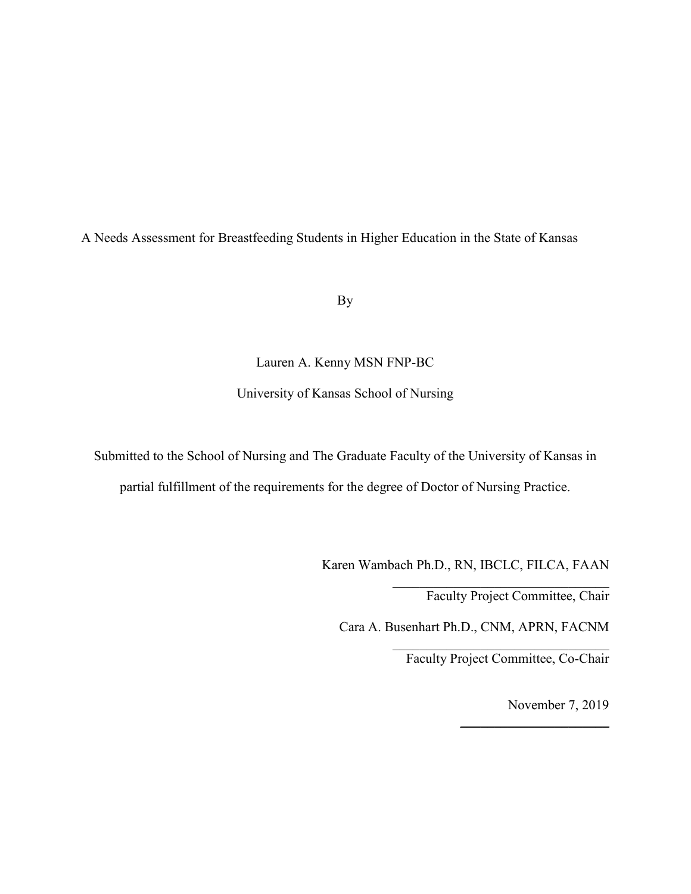A Needs Assessment for Breastfeeding Students in Higher Education in the State of Kansas

By

# Lauren A. Kenny MSN FNP-BC

# University of Kansas School of Nursing

Submitted to the School of Nursing and The Graduate Faculty of the University of Kansas in partial fulfillment of the requirements for the degree of Doctor of Nursing Practice.

Karen Wambach Ph.D., RN, IBCLC, FILCA, FAAN

Faculty Project Committee, Chair

\_\_\_\_\_\_\_\_\_\_\_\_\_\_\_\_\_\_\_\_\_\_\_\_\_\_\_\_\_\_\_\_

Cara A. Busenhart Ph.D., CNM, APRN, FACNM

\_\_\_\_\_\_\_\_\_\_\_\_\_\_\_\_\_\_\_\_\_\_\_\_\_\_\_\_\_\_\_\_ Faculty Project Committee, Co-Chair

November 7, 2019

 $\_$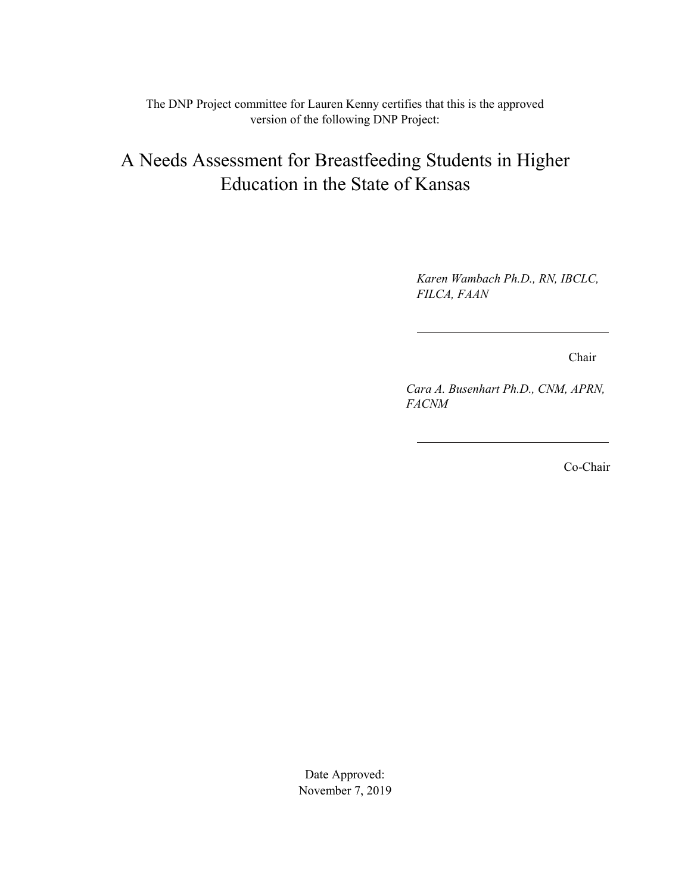The DNP Project committee for Lauren Kenny certifies that this is the approved version of the following DNP Project:

# A Needs Assessment for Breastfeeding Students in Higher Education in the State of Kansas

*Karen Wambach Ph.D., RN, IBCLC, FILCA, FAAN* 

Chair

*Cara A. Busenhart Ph.D., CNM, APRN, FACNM* 

Co-Chair

Date Approved: November 7, 2019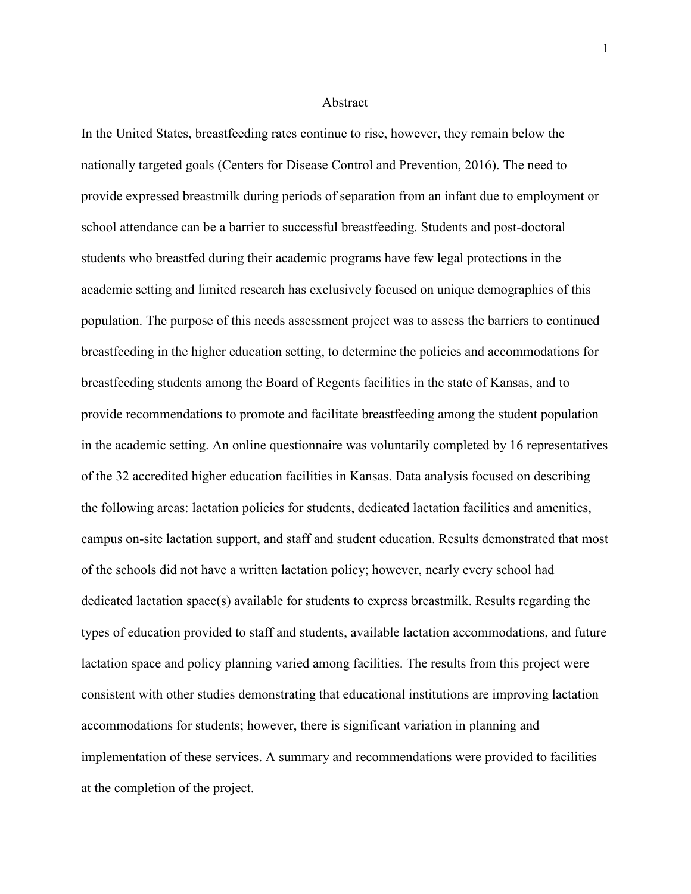#### Abstract

In the United States, breastfeeding rates continue to rise, however, they remain below the nationally targeted goals (Centers for Disease Control and Prevention, 2016). The need to provide expressed breastmilk during periods of separation from an infant due to employment or school attendance can be a barrier to successful breastfeeding. Students and post-doctoral students who breastfed during their academic programs have few legal protections in the academic setting and limited research has exclusively focused on unique demographics of this population. The purpose of this needs assessment project was to assess the barriers to continued breastfeeding in the higher education setting, to determine the policies and accommodations for breastfeeding students among the Board of Regents facilities in the state of Kansas, and to provide recommendations to promote and facilitate breastfeeding among the student population in the academic setting. An online questionnaire was voluntarily completed by 16 representatives of the 32 accredited higher education facilities in Kansas. Data analysis focused on describing the following areas: lactation policies for students, dedicated lactation facilities and amenities, campus on-site lactation support, and staff and student education. Results demonstrated that most of the schools did not have a written lactation policy; however, nearly every school had dedicated lactation space(s) available for students to express breastmilk. Results regarding the types of education provided to staff and students, available lactation accommodations, and future lactation space and policy planning varied among facilities. The results from this project were consistent with other studies demonstrating that educational institutions are improving lactation accommodations for students; however, there is significant variation in planning and implementation of these services. A summary and recommendations were provided to facilities at the completion of the project.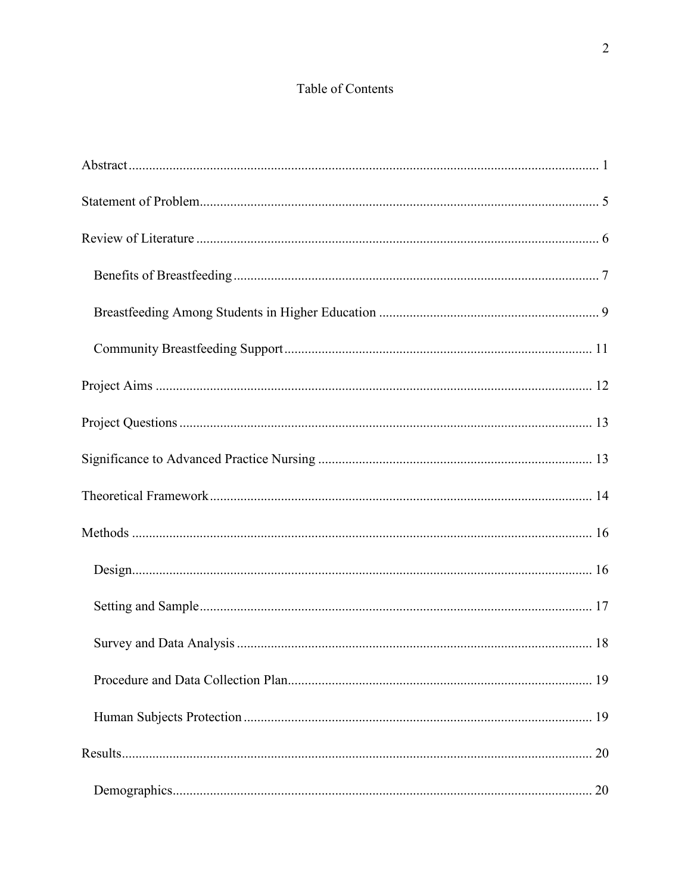# Table of Contents

| 20 |
|----|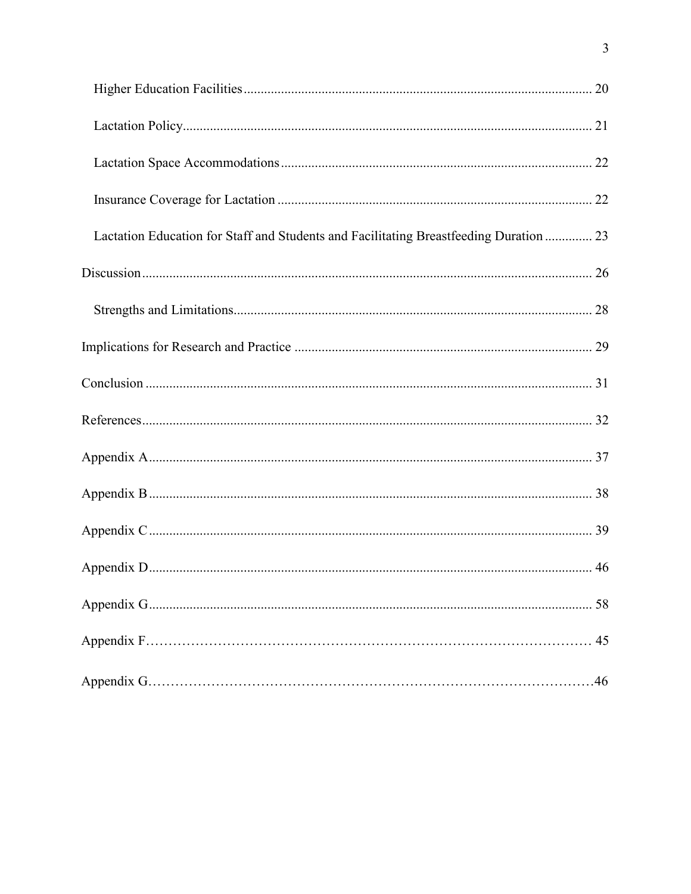| Lactation Education for Staff and Students and Facilitating Breastfeeding Duration  23 |    |
|----------------------------------------------------------------------------------------|----|
|                                                                                        |    |
|                                                                                        |    |
|                                                                                        |    |
|                                                                                        |    |
|                                                                                        |    |
|                                                                                        |    |
|                                                                                        |    |
|                                                                                        |    |
|                                                                                        |    |
|                                                                                        |    |
|                                                                                        | 45 |
|                                                                                        |    |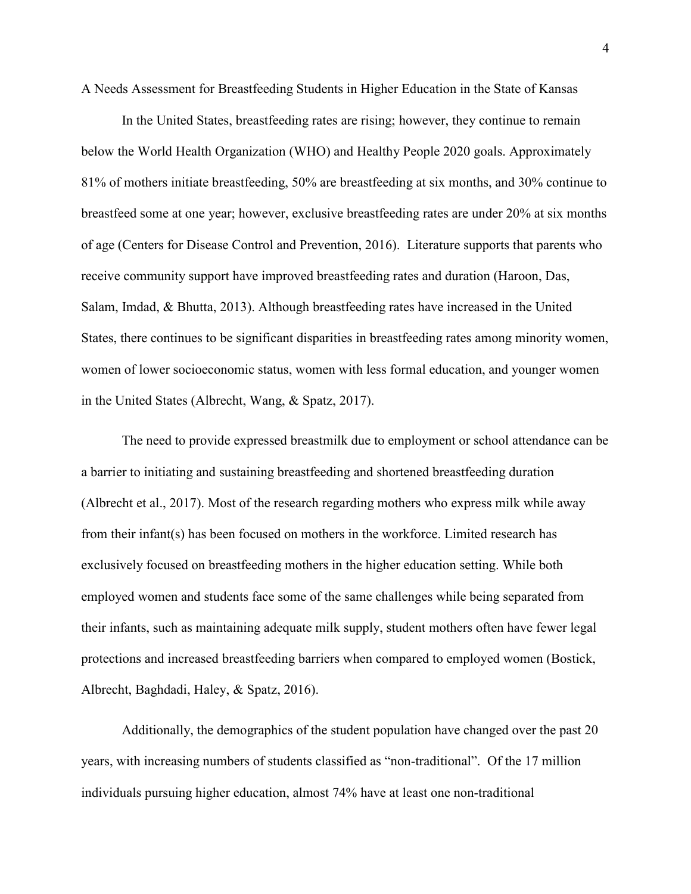A Needs Assessment for Breastfeeding Students in Higher Education in the State of Kansas

In the United States, breastfeeding rates are rising; however, they continue to remain below the World Health Organization (WHO) and Healthy People 2020 goals. Approximately 81% of mothers initiate breastfeeding, 50% are breastfeeding at six months, and 30% continue to breastfeed some at one year; however, exclusive breastfeeding rates are under 20% at six months of age (Centers for Disease Control and Prevention, 2016). Literature supports that parents who receive community support have improved breastfeeding rates and duration (Haroon, Das, Salam, Imdad, & Bhutta, 2013). Although breastfeeding rates have increased in the United States, there continues to be significant disparities in breastfeeding rates among minority women, women of lower socioeconomic status, women with less formal education, and younger women in the United States (Albrecht, Wang, & Spatz, 2017).

The need to provide expressed breastmilk due to employment or school attendance can be a barrier to initiating and sustaining breastfeeding and shortened breastfeeding duration (Albrecht et al., 2017). Most of the research regarding mothers who express milk while away from their infant(s) has been focused on mothers in the workforce. Limited research has exclusively focused on breastfeeding mothers in the higher education setting. While both employed women and students face some of the same challenges while being separated from their infants, such as maintaining adequate milk supply, student mothers often have fewer legal protections and increased breastfeeding barriers when compared to employed women (Bostick, Albrecht, Baghdadi, Haley, & Spatz, 2016).

Additionally, the demographics of the student population have changed over the past 20 years, with increasing numbers of students classified as "non-traditional". Of the 17 million individuals pursuing higher education, almost 74% have at least one non-traditional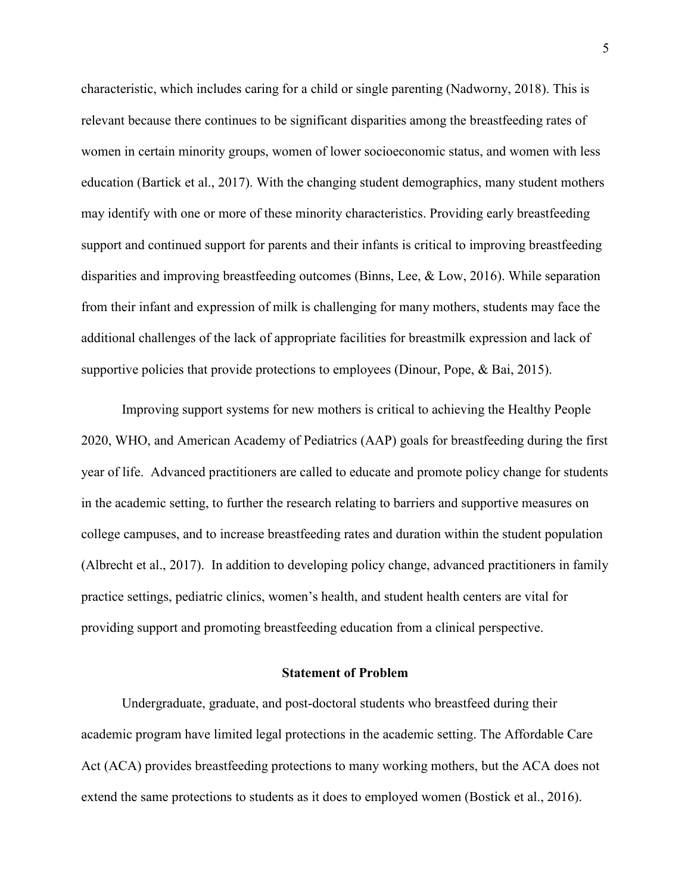characteristic, which includes caring for a child or single parenting (Nadworny, 2018). This is relevant because there continues to be significant disparities among the breastfeeding rates of women in certain minority groups, women of lower socioeconomic status, and women with less education (Bartick et al., 2017). With the changing student demographics, many student mothers may identify with one or more of these minority characteristics. Providing early breastfeeding support and continued support for parents and their infants is critical to improving breastfeeding disparities and improving breastfeeding outcomes (Binns, Lee, & Low, 2016). While separation from their infant and expression of milk is challenging for many mothers, students may face the additional challenges of the lack of appropriate facilities for breastmilk expression and lack of supportive policies that provide protections to employees (Dinour, Pope, & Bai, 2015).

Improving support systems for new mothers is critical to achieving the Healthy People 2020, WHO, and American Academy of Pediatrics (AAP) goals for breastfeeding during the first year of life. Advanced practitioners are called to educate and promote policy change for students in the academic setting, to further the research relating to barriers and supportive measures on college campuses, and to increase breastfeeding rates and duration within the student population (Albrecht et al., 2017). In addition to developing policy change, advanced practitioners in family practice settings, pediatric clinics, women's health, and student health centers are vital for providing support and promoting breastfeeding education from a clinical perspective.

#### **Statement of Problem**

Undergraduate, graduate, and post-doctoral students who breastfeed during their academic program have limited legal protections in the academic setting. The Affordable Care Act (ACA) provides breastfeeding protections to many working mothers, but the ACA does not extend the same protections to students as it does to employed women (Bostick et al., 2016).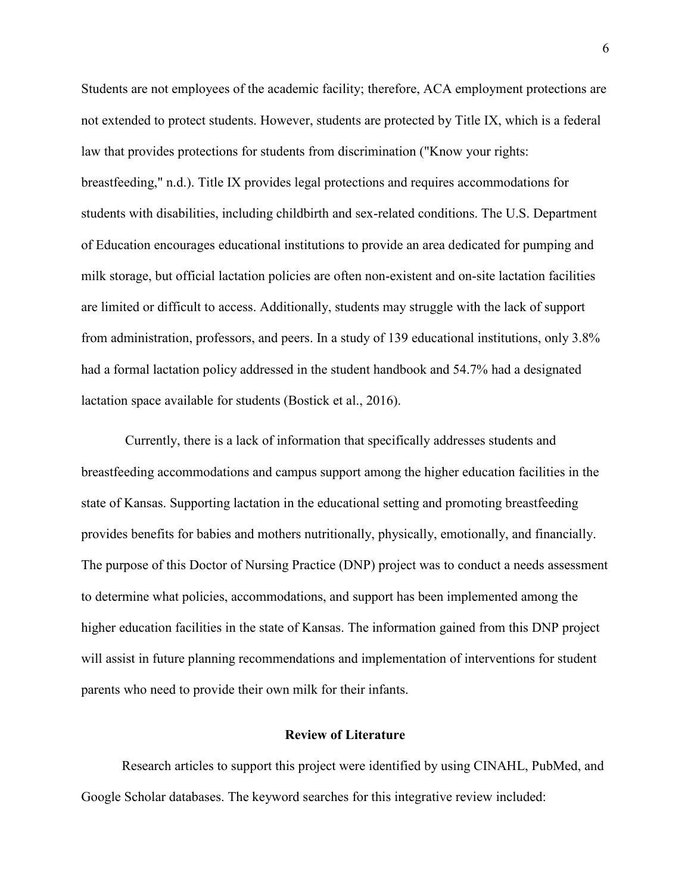Students are not employees of the academic facility; therefore, ACA employment protections are not extended to protect students. However, students are protected by Title IX, which is a federal law that provides protections for students from discrimination ("Know your rights: breastfeeding," n.d.). Title IX provides legal protections and requires accommodations for students with disabilities, including childbirth and sex-related conditions. The U.S. Department of Education encourages educational institutions to provide an area dedicated for pumping and milk storage, but official lactation policies are often non-existent and on-site lactation facilities are limited or difficult to access. Additionally, students may struggle with the lack of support from administration, professors, and peers. In a study of 139 educational institutions, only 3.8% had a formal lactation policy addressed in the student handbook and 54.7% had a designated lactation space available for students (Bostick et al., 2016).

 Currently, there is a lack of information that specifically addresses students and breastfeeding accommodations and campus support among the higher education facilities in the state of Kansas. Supporting lactation in the educational setting and promoting breastfeeding provides benefits for babies and mothers nutritionally, physically, emotionally, and financially. The purpose of this Doctor of Nursing Practice (DNP) project was to conduct a needs assessment to determine what policies, accommodations, and support has been implemented among the higher education facilities in the state of Kansas. The information gained from this DNP project will assist in future planning recommendations and implementation of interventions for student parents who need to provide their own milk for their infants.

## **Review of Literature**

Research articles to support this project were identified by using CINAHL, PubMed, and Google Scholar databases. The keyword searches for this integrative review included: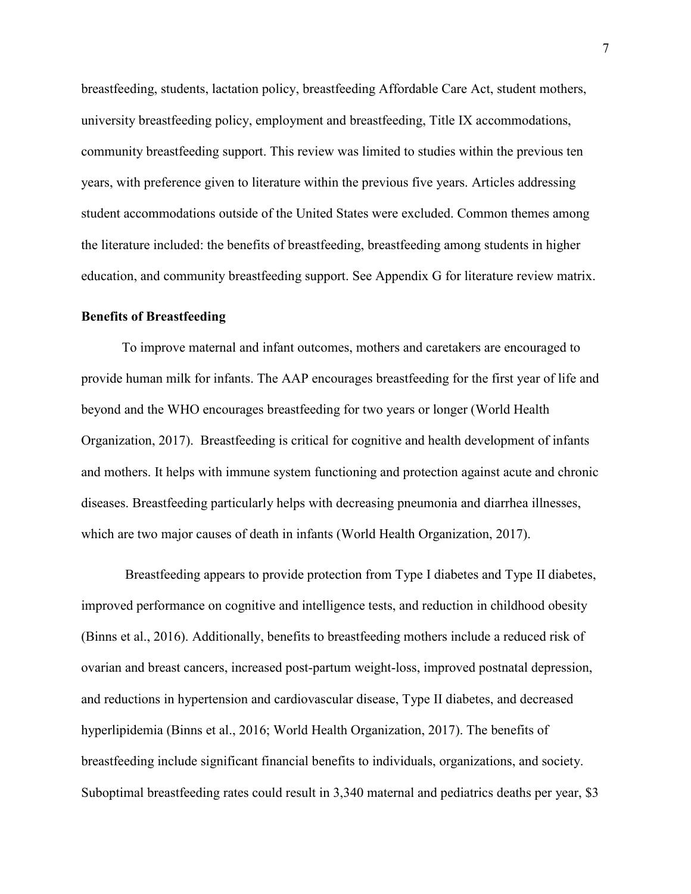breastfeeding, students, lactation policy, breastfeeding Affordable Care Act, student mothers, university breastfeeding policy, employment and breastfeeding, Title IX accommodations, community breastfeeding support. This review was limited to studies within the previous ten years, with preference given to literature within the previous five years. Articles addressing student accommodations outside of the United States were excluded. Common themes among the literature included: the benefits of breastfeeding, breastfeeding among students in higher education, and community breastfeeding support. See Appendix G for literature review matrix.

#### **Benefits of Breastfeeding**

To improve maternal and infant outcomes, mothers and caretakers are encouraged to provide human milk for infants. The AAP encourages breastfeeding for the first year of life and beyond and the WHO encourages breastfeeding for two years or longer (World Health Organization, 2017). Breastfeeding is critical for cognitive and health development of infants and mothers. It helps with immune system functioning and protection against acute and chronic diseases. Breastfeeding particularly helps with decreasing pneumonia and diarrhea illnesses, which are two major causes of death in infants (World Health Organization, 2017).

 Breastfeeding appears to provide protection from Type I diabetes and Type II diabetes, improved performance on cognitive and intelligence tests, and reduction in childhood obesity (Binns et al., 2016). Additionally, benefits to breastfeeding mothers include a reduced risk of ovarian and breast cancers, increased post-partum weight-loss, improved postnatal depression, and reductions in hypertension and cardiovascular disease, Type II diabetes, and decreased hyperlipidemia (Binns et al., 2016; World Health Organization, 2017). The benefits of breastfeeding include significant financial benefits to individuals, organizations, and society. Suboptimal breastfeeding rates could result in 3,340 maternal and pediatrics deaths per year, \$3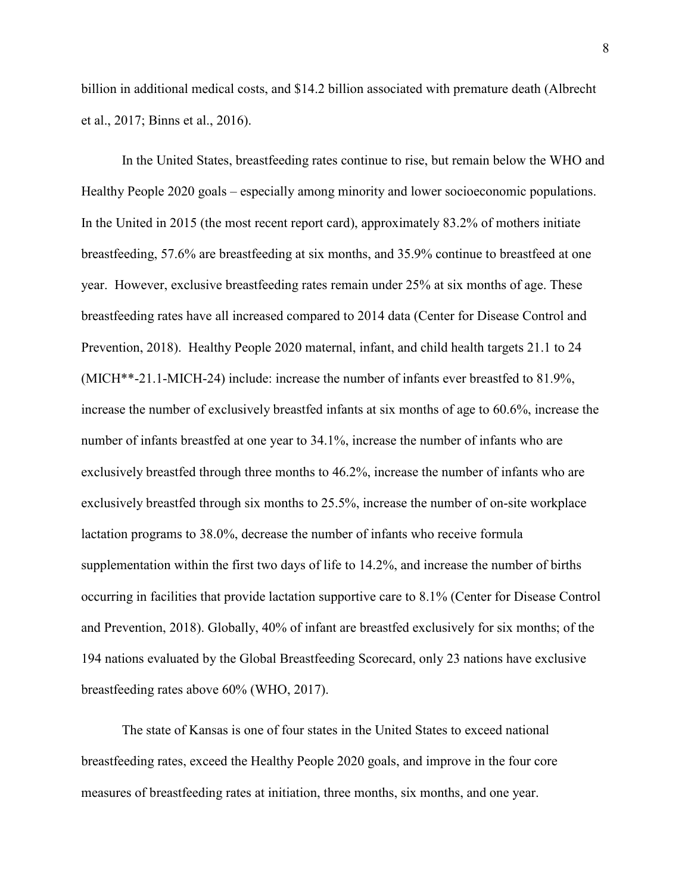billion in additional medical costs, and \$14.2 billion associated with premature death (Albrecht et al., 2017; Binns et al., 2016).

 In the United States, breastfeeding rates continue to rise, but remain below the WHO and Healthy People 2020 goals – especially among minority and lower socioeconomic populations. In the United in 2015 (the most recent report card), approximately 83.2% of mothers initiate breastfeeding, 57.6% are breastfeeding at six months, and 35.9% continue to breastfeed at one year. However, exclusive breastfeeding rates remain under 25% at six months of age. These breastfeeding rates have all increased compared to 2014 data (Center for Disease Control and Prevention, 2018). Healthy People 2020 maternal, infant, and child health targets 21.1 to 24 (MICH\*\*-21.1-MICH-24) include: increase the number of infants ever breastfed to 81.9%, increase the number of exclusively breastfed infants at six months of age to 60.6%, increase the number of infants breastfed at one year to 34.1%, increase the number of infants who are exclusively breastfed through three months to 46.2%, increase the number of infants who are exclusively breastfed through six months to 25.5%, increase the number of on-site workplace lactation programs to 38.0%, decrease the number of infants who receive formula supplementation within the first two days of life to 14.2%, and increase the number of births occurring in facilities that provide lactation supportive care to 8.1% (Center for Disease Control and Prevention, 2018). Globally, 40% of infant are breastfed exclusively for six months; of the 194 nations evaluated by the Global Breastfeeding Scorecard, only 23 nations have exclusive breastfeeding rates above 60% (WHO, 2017).

 The state of Kansas is one of four states in the United States to exceed national breastfeeding rates, exceed the Healthy People 2020 goals, and improve in the four core measures of breastfeeding rates at initiation, three months, six months, and one year.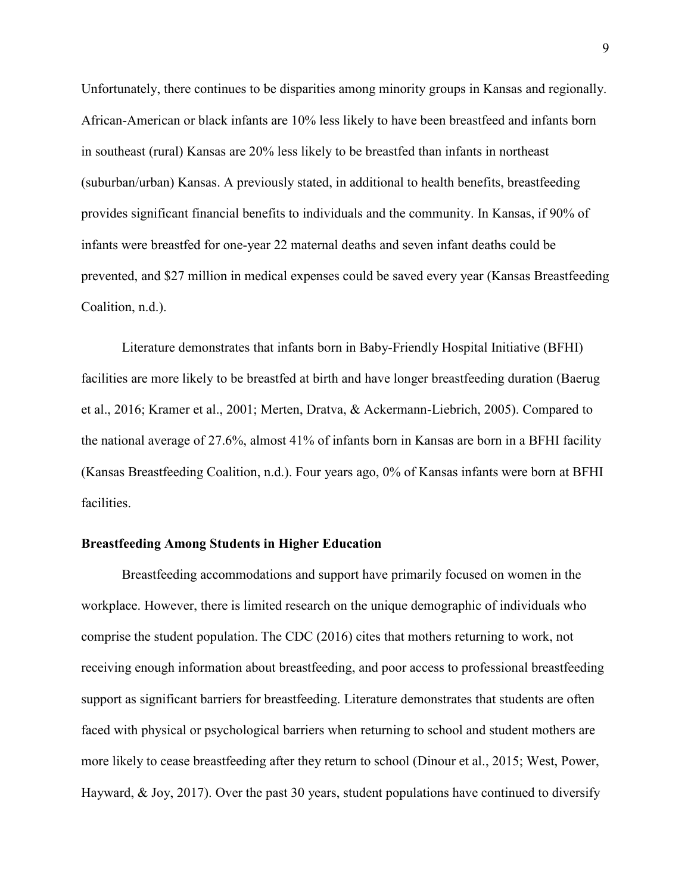Unfortunately, there continues to be disparities among minority groups in Kansas and regionally. African-American or black infants are 10% less likely to have been breastfeed and infants born in southeast (rural) Kansas are 20% less likely to be breastfed than infants in northeast (suburban/urban) Kansas. A previously stated, in additional to health benefits, breastfeeding provides significant financial benefits to individuals and the community. In Kansas, if 90% of infants were breastfed for one-year 22 maternal deaths and seven infant deaths could be prevented, and \$27 million in medical expenses could be saved every year (Kansas Breastfeeding Coalition, n.d.).

Literature demonstrates that infants born in Baby-Friendly Hospital Initiative (BFHI) facilities are more likely to be breastfed at birth and have longer breastfeeding duration (Baerug et al., 2016; Kramer et al., 2001; Merten, Dratva, & Ackermann-Liebrich, 2005). Compared to the national average of 27.6%, almost 41% of infants born in Kansas are born in a BFHI facility (Kansas Breastfeeding Coalition, n.d.). Four years ago, 0% of Kansas infants were born at BFHI facilities.

#### **Breastfeeding Among Students in Higher Education**

 Breastfeeding accommodations and support have primarily focused on women in the workplace. However, there is limited research on the unique demographic of individuals who comprise the student population. The CDC (2016) cites that mothers returning to work, not receiving enough information about breastfeeding, and poor access to professional breastfeeding support as significant barriers for breastfeeding. Literature demonstrates that students are often faced with physical or psychological barriers when returning to school and student mothers are more likely to cease breastfeeding after they return to school (Dinour et al., 2015; West, Power, Hayward, & Joy, 2017). Over the past 30 years, student populations have continued to diversify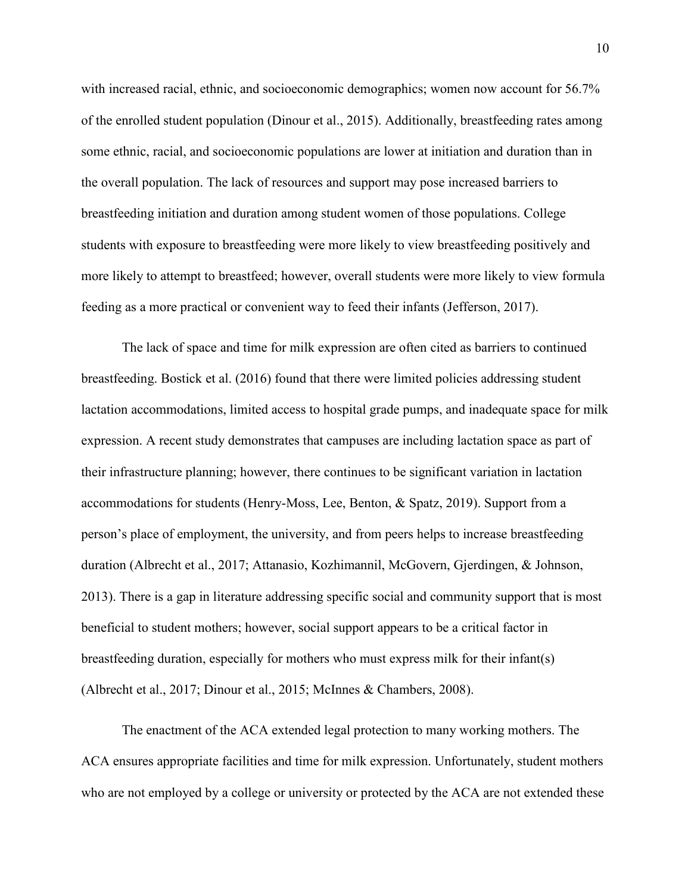with increased racial, ethnic, and socioeconomic demographics; women now account for 56.7% of the enrolled student population (Dinour et al., 2015). Additionally, breastfeeding rates among some ethnic, racial, and socioeconomic populations are lower at initiation and duration than in the overall population. The lack of resources and support may pose increased barriers to breastfeeding initiation and duration among student women of those populations. College students with exposure to breastfeeding were more likely to view breastfeeding positively and more likely to attempt to breastfeed; however, overall students were more likely to view formula feeding as a more practical or convenient way to feed their infants (Jefferson, 2017).

The lack of space and time for milk expression are often cited as barriers to continued breastfeeding. Bostick et al. (2016) found that there were limited policies addressing student lactation accommodations, limited access to hospital grade pumps, and inadequate space for milk expression. A recent study demonstrates that campuses are including lactation space as part of their infrastructure planning; however, there continues to be significant variation in lactation accommodations for students (Henry-Moss, Lee, Benton, & Spatz, 2019). Support from a person's place of employment, the university, and from peers helps to increase breastfeeding duration (Albrecht et al., 2017; Attanasio, Kozhimannil, McGovern, Gjerdingen, & Johnson, 2013). There is a gap in literature addressing specific social and community support that is most beneficial to student mothers; however, social support appears to be a critical factor in breastfeeding duration, especially for mothers who must express milk for their infant(s) (Albrecht et al., 2017; Dinour et al., 2015; McInnes & Chambers, 2008).

The enactment of the ACA extended legal protection to many working mothers. The ACA ensures appropriate facilities and time for milk expression. Unfortunately, student mothers who are not employed by a college or university or protected by the ACA are not extended these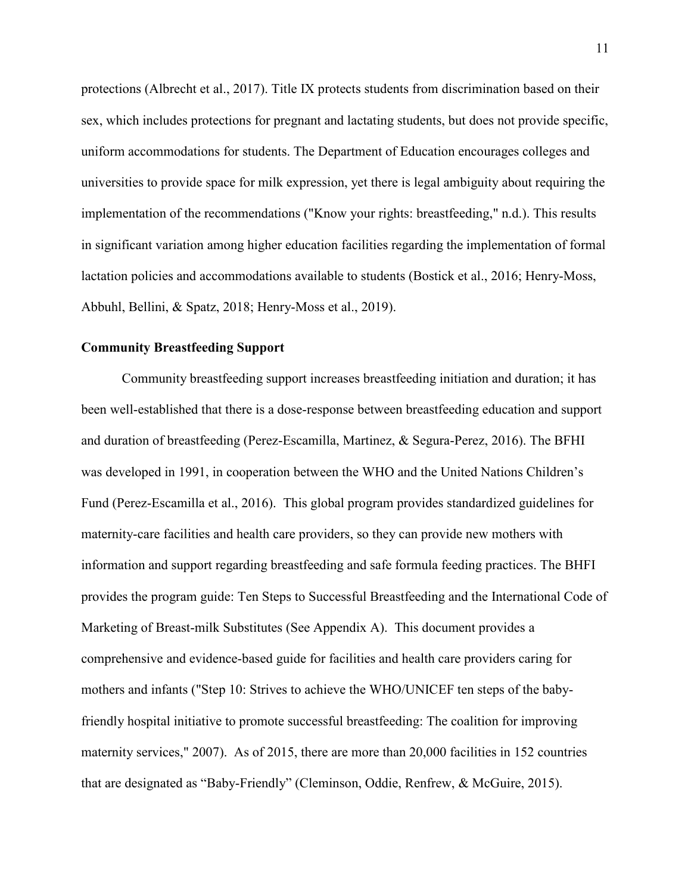protections (Albrecht et al., 2017). Title IX protects students from discrimination based on their sex, which includes protections for pregnant and lactating students, but does not provide specific, uniform accommodations for students. The Department of Education encourages colleges and universities to provide space for milk expression, yet there is legal ambiguity about requiring the implementation of the recommendations ("Know your rights: breastfeeding," n.d.). This results in significant variation among higher education facilities regarding the implementation of formal lactation policies and accommodations available to students (Bostick et al., 2016; Henry-Moss, Abbuhl, Bellini, & Spatz, 2018; Henry-Moss et al., 2019).

# **Community Breastfeeding Support**

 Community breastfeeding support increases breastfeeding initiation and duration; it has been well-established that there is a dose-response between breastfeeding education and support and duration of breastfeeding (Perez-Escamilla, Martinez, & Segura-Perez, 2016). The BFHI was developed in 1991, in cooperation between the WHO and the United Nations Children's Fund (Perez-Escamilla et al., 2016). This global program provides standardized guidelines for maternity-care facilities and health care providers, so they can provide new mothers with information and support regarding breastfeeding and safe formula feeding practices. The BHFI provides the program guide: Ten Steps to Successful Breastfeeding and the International Code of Marketing of Breast-milk Substitutes (See Appendix A). This document provides a comprehensive and evidence-based guide for facilities and health care providers caring for mothers and infants ("Step 10: Strives to achieve the WHO/UNICEF ten steps of the babyfriendly hospital initiative to promote successful breastfeeding: The coalition for improving maternity services," 2007). As of 2015, there are more than 20,000 facilities in 152 countries that are designated as "Baby-Friendly" (Cleminson, Oddie, Renfrew, & McGuire, 2015).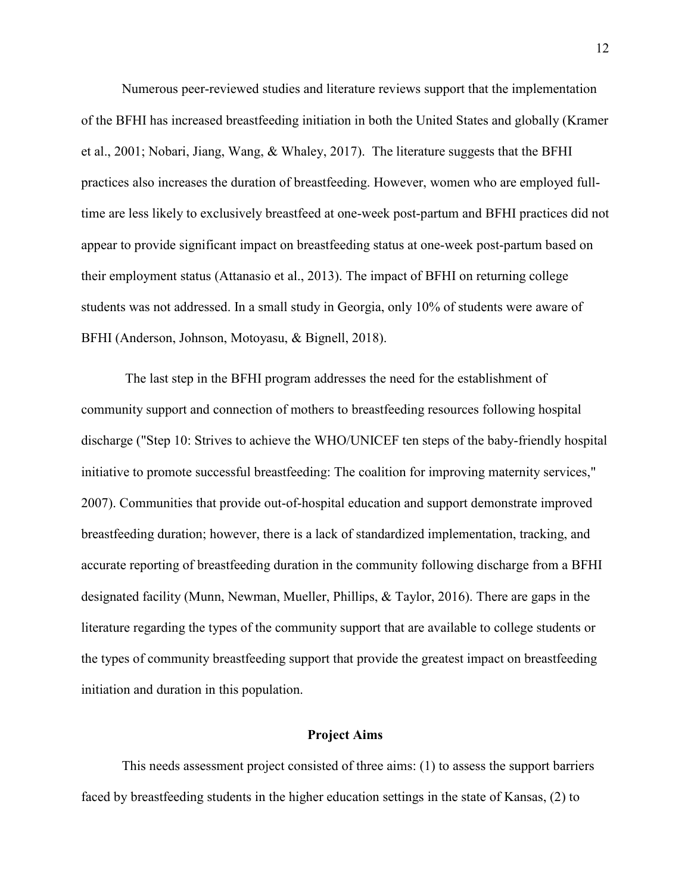Numerous peer-reviewed studies and literature reviews support that the implementation of the BFHI has increased breastfeeding initiation in both the United States and globally (Kramer et al., 2001; Nobari, Jiang, Wang, & Whaley, 2017). The literature suggests that the BFHI practices also increases the duration of breastfeeding. However, women who are employed fulltime are less likely to exclusively breastfeed at one-week post-partum and BFHI practices did not appear to provide significant impact on breastfeeding status at one-week post-partum based on their employment status (Attanasio et al., 2013). The impact of BFHI on returning college students was not addressed. In a small study in Georgia, only 10% of students were aware of BFHI (Anderson, Johnson, Motoyasu, & Bignell, 2018).

 The last step in the BFHI program addresses the need for the establishment of community support and connection of mothers to breastfeeding resources following hospital discharge ("Step 10: Strives to achieve the WHO/UNICEF ten steps of the baby-friendly hospital initiative to promote successful breastfeeding: The coalition for improving maternity services," 2007). Communities that provide out-of-hospital education and support demonstrate improved breastfeeding duration; however, there is a lack of standardized implementation, tracking, and accurate reporting of breastfeeding duration in the community following discharge from a BFHI designated facility (Munn, Newman, Mueller, Phillips, & Taylor, 2016). There are gaps in the literature regarding the types of the community support that are available to college students or the types of community breastfeeding support that provide the greatest impact on breastfeeding initiation and duration in this population.

### **Project Aims**

This needs assessment project consisted of three aims: (1) to assess the support barriers faced by breastfeeding students in the higher education settings in the state of Kansas, (2) to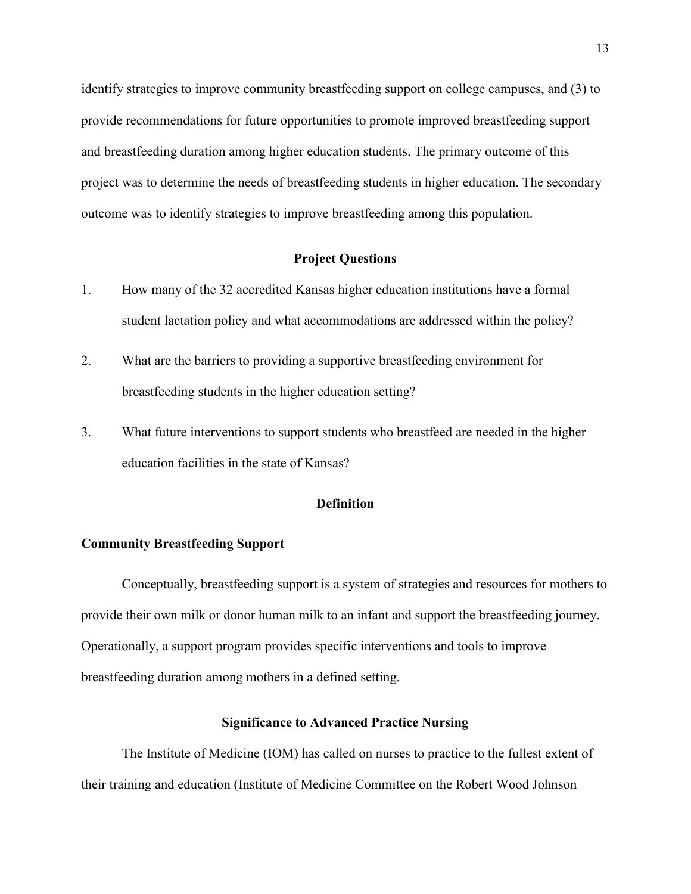identify strategies to improve community breastfeeding support on college campuses, and (3) to provide recommendations for future opportunities to promote improved breastfeeding support and breastfeeding duration among higher education students. The primary outcome of this project was to determine the needs of breastfeeding students in higher education. The secondary outcome was to identify strategies to improve breastfeeding among this population.

## **Project Questions**

- 1. How many of the 32 accredited Kansas higher education institutions have a formal student lactation policy and what accommodations are addressed within the policy?
- 2. What are the barriers to providing a supportive breastfeeding environment for breastfeeding students in the higher education setting?
- 3. What future interventions to support students who breastfeed are needed in the higher education facilities in the state of Kansas?

## **Definition**

#### **Community Breastfeeding Support**

Conceptually, breastfeeding support is a system of strategies and resources for mothers to provide their own milk or donor human milk to an infant and support the breastfeeding journey. Operationally, a support program provides specific interventions and tools to improve breastfeeding duration among mothers in a defined setting.

# **Significance to Advanced Practice Nursing**

The Institute of Medicine (IOM) has called on nurses to practice to the fullest extent of their training and education (Institute of Medicine Committee on the Robert Wood Johnson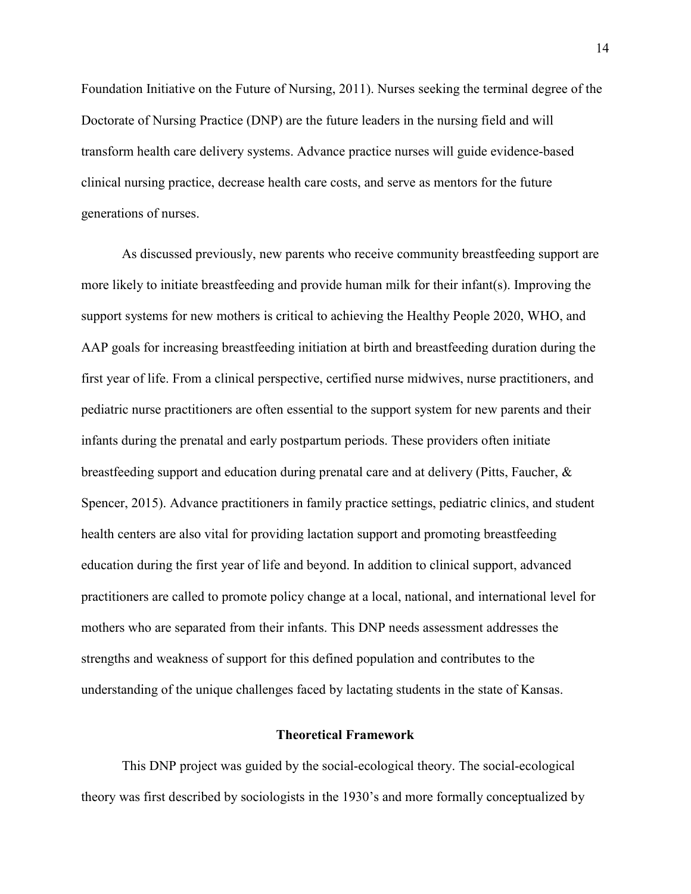Foundation Initiative on the Future of Nursing, 2011). Nurses seeking the terminal degree of the Doctorate of Nursing Practice (DNP) are the future leaders in the nursing field and will transform health care delivery systems. Advance practice nurses will guide evidence-based clinical nursing practice, decrease health care costs, and serve as mentors for the future generations of nurses.

As discussed previously, new parents who receive community breastfeeding support are more likely to initiate breastfeeding and provide human milk for their infant(s). Improving the support systems for new mothers is critical to achieving the Healthy People 2020, WHO, and AAP goals for increasing breastfeeding initiation at birth and breastfeeding duration during the first year of life. From a clinical perspective, certified nurse midwives, nurse practitioners, and pediatric nurse practitioners are often essential to the support system for new parents and their infants during the prenatal and early postpartum periods. These providers often initiate breastfeeding support and education during prenatal care and at delivery (Pitts, Faucher, & Spencer, 2015). Advance practitioners in family practice settings, pediatric clinics, and student health centers are also vital for providing lactation support and promoting breastfeeding education during the first year of life and beyond. In addition to clinical support, advanced practitioners are called to promote policy change at a local, national, and international level for mothers who are separated from their infants. This DNP needs assessment addresses the strengths and weakness of support for this defined population and contributes to the understanding of the unique challenges faced by lactating students in the state of Kansas.

# **Theoretical Framework**

This DNP project was guided by the social-ecological theory. The social-ecological theory was first described by sociologists in the 1930's and more formally conceptualized by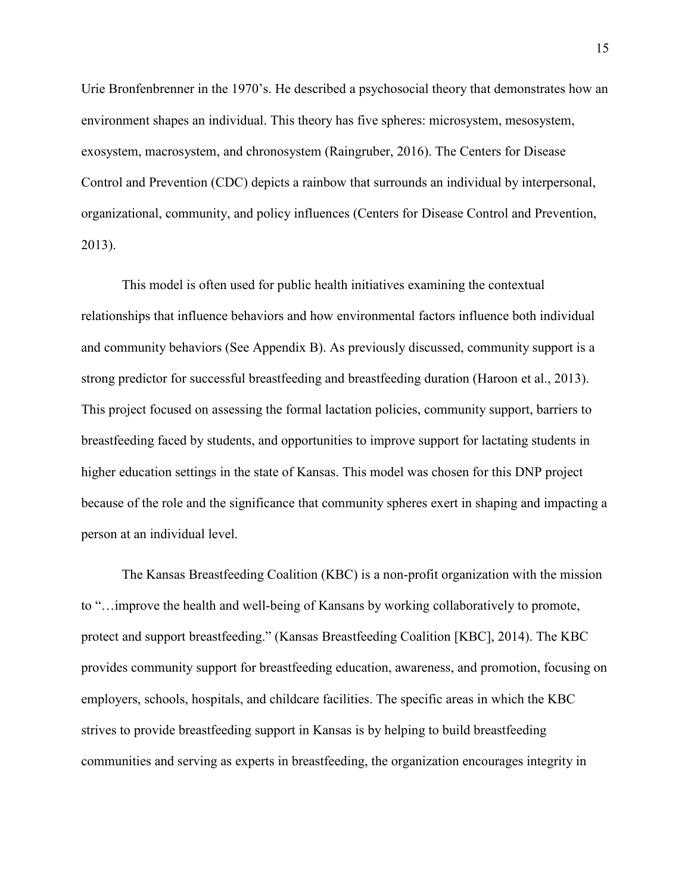Urie Bronfenbrenner in the 1970's. He described a psychosocial theory that demonstrates how an environment shapes an individual. This theory has five spheres: microsystem, mesosystem, exosystem, macrosystem, and chronosystem (Raingruber, 2016). The Centers for Disease Control and Prevention (CDC) depicts a rainbow that surrounds an individual by interpersonal, organizational, community, and policy influences (Centers for Disease Control and Prevention, 2013).

This model is often used for public health initiatives examining the contextual relationships that influence behaviors and how environmental factors influence both individual and community behaviors (See Appendix B). As previously discussed, community support is a strong predictor for successful breastfeeding and breastfeeding duration (Haroon et al., 2013). This project focused on assessing the formal lactation policies, community support, barriers to breastfeeding faced by students, and opportunities to improve support for lactating students in higher education settings in the state of Kansas. This model was chosen for this DNP project because of the role and the significance that community spheres exert in shaping and impacting a person at an individual level.

The Kansas Breastfeeding Coalition (KBC) is a non-profit organization with the mission to "…improve the health and well-being of Kansans by working collaboratively to promote, protect and support breastfeeding." (Kansas Breastfeeding Coalition [KBC], 2014). The KBC provides community support for breastfeeding education, awareness, and promotion, focusing on employers, schools, hospitals, and childcare facilities. The specific areas in which the KBC strives to provide breastfeeding support in Kansas is by helping to build breastfeeding communities and serving as experts in breastfeeding, the organization encourages integrity in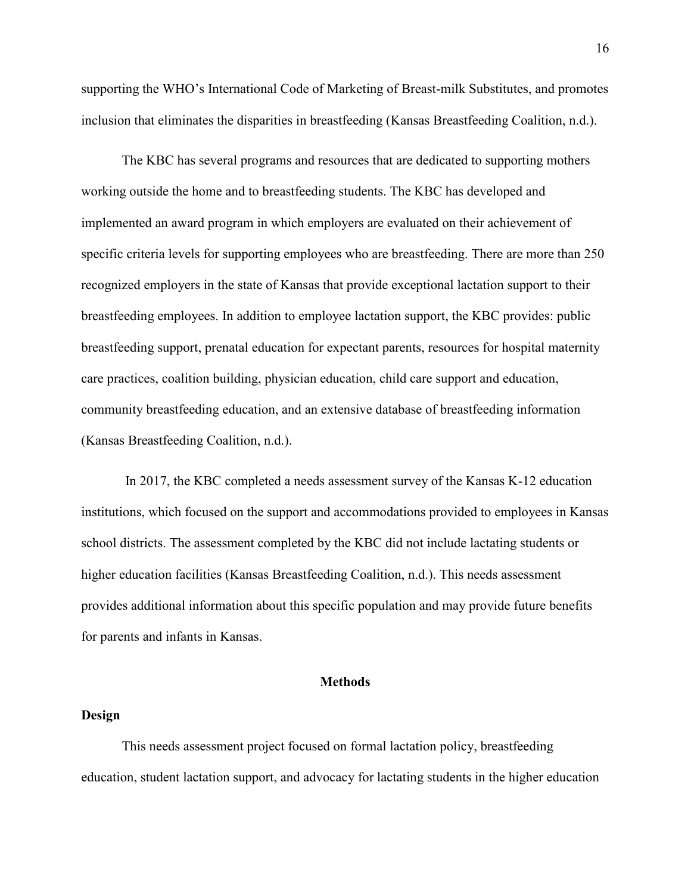supporting the WHO's International Code of Marketing of Breast-milk Substitutes, and promotes inclusion that eliminates the disparities in breastfeeding (Kansas Breastfeeding Coalition, n.d.).

The KBC has several programs and resources that are dedicated to supporting mothers working outside the home and to breastfeeding students. The KBC has developed and implemented an award program in which employers are evaluated on their achievement of specific criteria levels for supporting employees who are breastfeeding. There are more than 250 recognized employers in the state of Kansas that provide exceptional lactation support to their breastfeeding employees. In addition to employee lactation support, the KBC provides: public breastfeeding support, prenatal education for expectant parents, resources for hospital maternity care practices, coalition building, physician education, child care support and education, community breastfeeding education, and an extensive database of breastfeeding information (Kansas Breastfeeding Coalition, n.d.).

 In 2017, the KBC completed a needs assessment survey of the Kansas K-12 education institutions, which focused on the support and accommodations provided to employees in Kansas school districts. The assessment completed by the KBC did not include lactating students or higher education facilities (Kansas Breastfeeding Coalition, n.d.). This needs assessment provides additional information about this specific population and may provide future benefits for parents and infants in Kansas.

#### **Methods**

## **Design**

This needs assessment project focused on formal lactation policy, breastfeeding education, student lactation support, and advocacy for lactating students in the higher education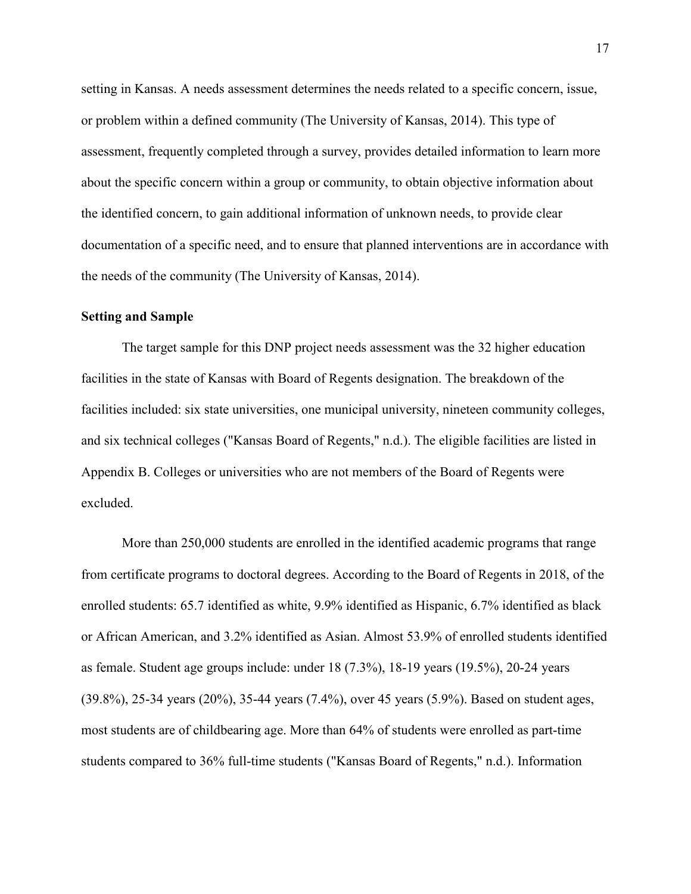setting in Kansas. A needs assessment determines the needs related to a specific concern, issue, or problem within a defined community (The University of Kansas, 2014). This type of assessment, frequently completed through a survey, provides detailed information to learn more about the specific concern within a group or community, to obtain objective information about the identified concern, to gain additional information of unknown needs, to provide clear documentation of a specific need, and to ensure that planned interventions are in accordance with the needs of the community (The University of Kansas, 2014).

# **Setting and Sample**

The target sample for this DNP project needs assessment was the 32 higher education facilities in the state of Kansas with Board of Regents designation. The breakdown of the facilities included: six state universities, one municipal university, nineteen community colleges, and six technical colleges ("Kansas Board of Regents," n.d.). The eligible facilities are listed in Appendix B. Colleges or universities who are not members of the Board of Regents were excluded.

More than 250,000 students are enrolled in the identified academic programs that range from certificate programs to doctoral degrees. According to the Board of Regents in 2018, of the enrolled students: 65.7 identified as white, 9.9% identified as Hispanic, 6.7% identified as black or African American, and 3.2% identified as Asian. Almost 53.9% of enrolled students identified as female. Student age groups include: under 18 (7.3%), 18-19 years (19.5%), 20-24 years (39.8%), 25-34 years (20%), 35-44 years (7.4%), over 45 years (5.9%). Based on student ages, most students are of childbearing age. More than 64% of students were enrolled as part-time students compared to 36% full-time students ("Kansas Board of Regents," n.d.). Information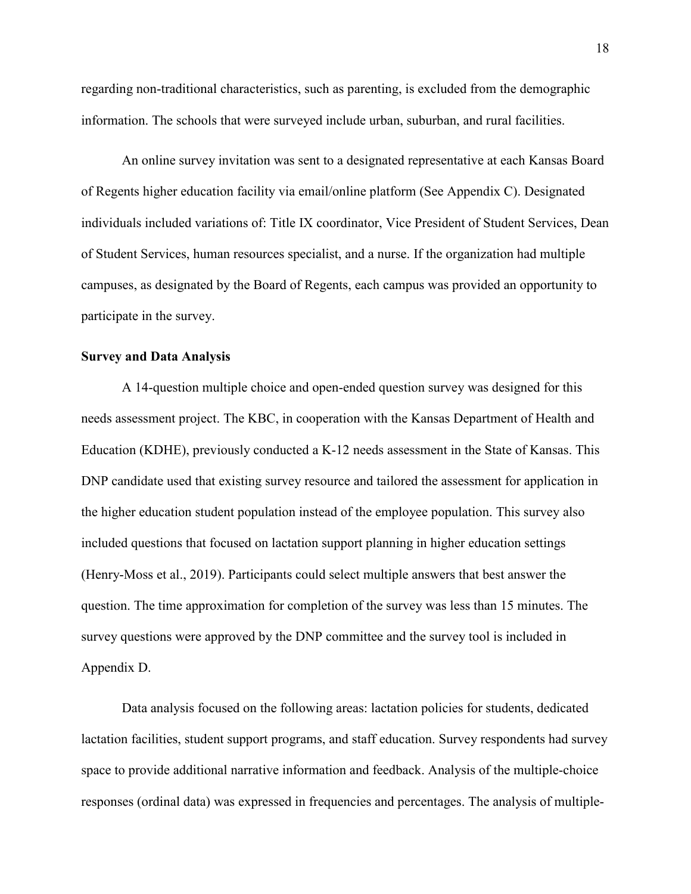regarding non-traditional characteristics, such as parenting, is excluded from the demographic information. The schools that were surveyed include urban, suburban, and rural facilities.

An online survey invitation was sent to a designated representative at each Kansas Board of Regents higher education facility via email/online platform (See Appendix C). Designated individuals included variations of: Title IX coordinator, Vice President of Student Services, Dean of Student Services, human resources specialist, and a nurse. If the organization had multiple campuses, as designated by the Board of Regents, each campus was provided an opportunity to participate in the survey.

### **Survey and Data Analysis**

A 14-question multiple choice and open-ended question survey was designed for this needs assessment project. The KBC, in cooperation with the Kansas Department of Health and Education (KDHE), previously conducted a K-12 needs assessment in the State of Kansas. This DNP candidate used that existing survey resource and tailored the assessment for application in the higher education student population instead of the employee population. This survey also included questions that focused on lactation support planning in higher education settings (Henry-Moss et al., 2019). Participants could select multiple answers that best answer the question. The time approximation for completion of the survey was less than 15 minutes. The survey questions were approved by the DNP committee and the survey tool is included in Appendix D.

Data analysis focused on the following areas: lactation policies for students, dedicated lactation facilities, student support programs, and staff education. Survey respondents had survey space to provide additional narrative information and feedback. Analysis of the multiple-choice responses (ordinal data) was expressed in frequencies and percentages. The analysis of multiple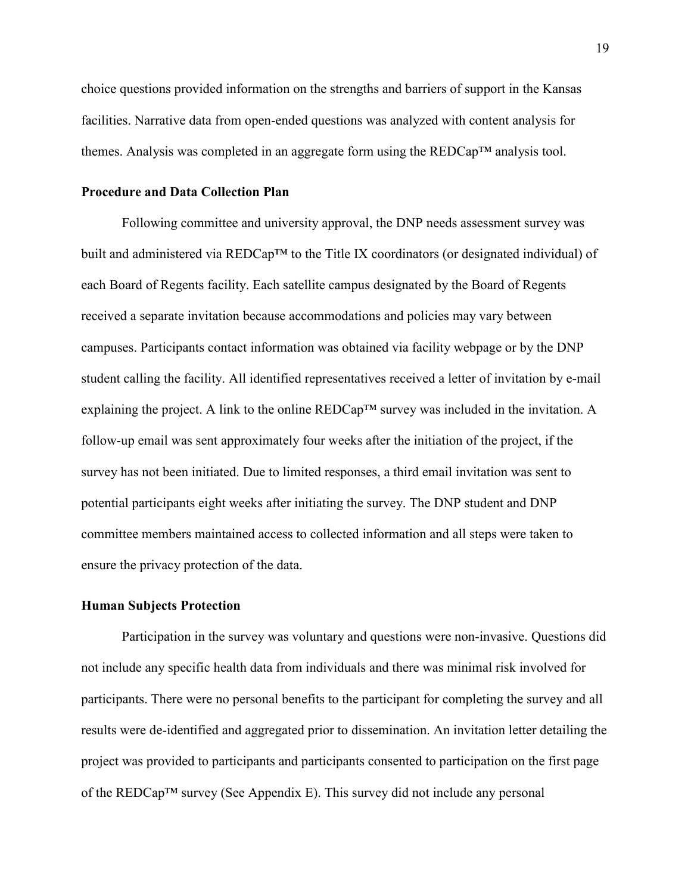choice questions provided information on the strengths and barriers of support in the Kansas facilities. Narrative data from open-ended questions was analyzed with content analysis for themes. Analysis was completed in an aggregate form using the  $REDCap^{TM}$  analysis tool.

#### **Procedure and Data Collection Plan**

 Following committee and university approval, the DNP needs assessment survey was built and administered via REDCap™ to the Title IX coordinators (or designated individual) of each Board of Regents facility. Each satellite campus designated by the Board of Regents received a separate invitation because accommodations and policies may vary between campuses. Participants contact information was obtained via facility webpage or by the DNP student calling the facility. All identified representatives received a letter of invitation by e-mail explaining the project. A link to the online REDCap<sup>™</sup> survey was included in the invitation. A follow-up email was sent approximately four weeks after the initiation of the project, if the survey has not been initiated. Due to limited responses, a third email invitation was sent to potential participants eight weeks after initiating the survey. The DNP student and DNP committee members maintained access to collected information and all steps were taken to ensure the privacy protection of the data.

#### **Human Subjects Protection**

Participation in the survey was voluntary and questions were non-invasive. Questions did not include any specific health data from individuals and there was minimal risk involved for participants. There were no personal benefits to the participant for completing the survey and all results were de-identified and aggregated prior to dissemination. An invitation letter detailing the project was provided to participants and participants consented to participation on the first page of the REDCap™ survey (See Appendix E). This survey did not include any personal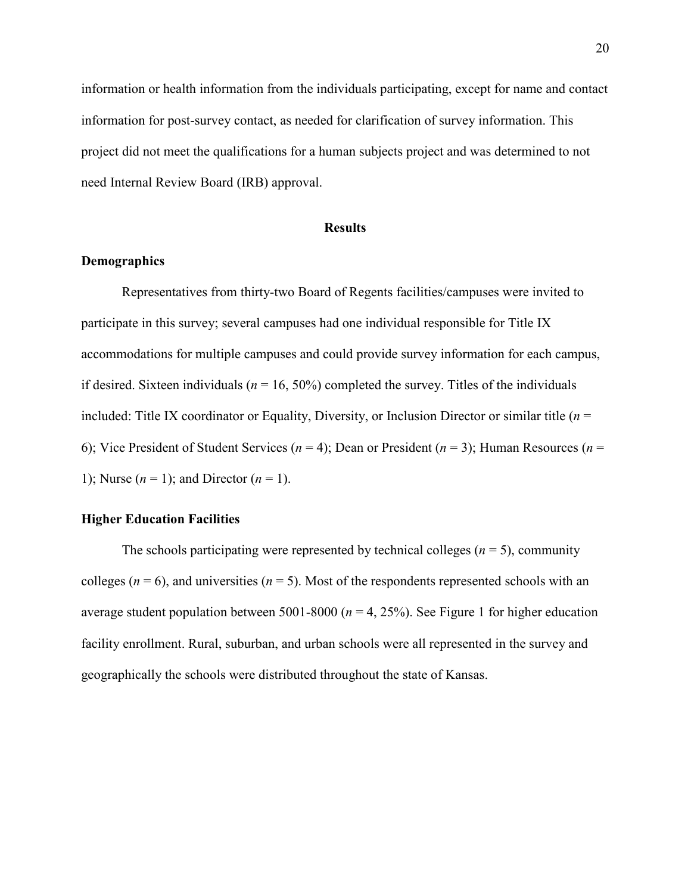information or health information from the individuals participating, except for name and contact information for post-survey contact, as needed for clarification of survey information. This project did not meet the qualifications for a human subjects project and was determined to not need Internal Review Board (IRB) approval.

#### **Results**

# **Demographics**

Representatives from thirty-two Board of Regents facilities/campuses were invited to participate in this survey; several campuses had one individual responsible for Title IX accommodations for multiple campuses and could provide survey information for each campus, if desired. Sixteen individuals ( $n = 16$ , 50%) completed the survey. Titles of the individuals included: Title IX coordinator or Equality, Diversity, or Inclusion Director or similar title  $(n =$ 6); Vice President of Student Services (*n* = 4); Dean or President (*n* = 3); Human Resources (*n* = 1); Nurse  $(n = 1)$ ; and Director  $(n = 1)$ .

#### **Higher Education Facilities**

The schools participating were represented by technical colleges  $(n = 5)$ , community colleges ( $n = 6$ ), and universities ( $n = 5$ ). Most of the respondents represented schools with an average student population between 5001-8000 ( $n = 4$ , 25%). See Figure 1 for higher education facility enrollment. Rural, suburban, and urban schools were all represented in the survey and geographically the schools were distributed throughout the state of Kansas.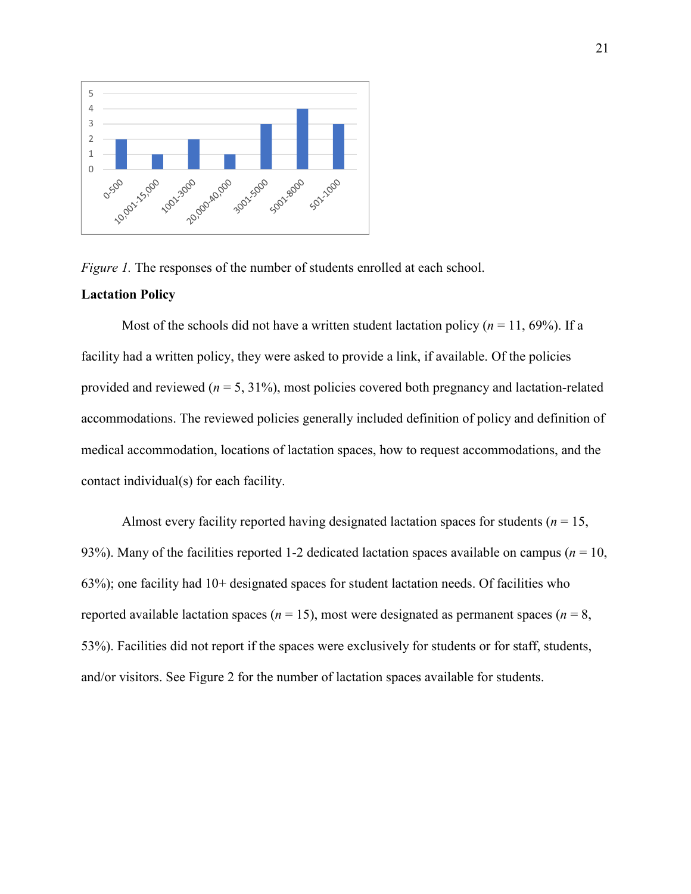

*Figure 1.* The responses of the number of students enrolled at each school.

### **Lactation Policy**

Most of the schools did not have a written student lactation policy ( $n = 11$ , 69%). If a facility had a written policy, they were asked to provide a link, if available. Of the policies provided and reviewed (*n* = 5, 31%), most policies covered both pregnancy and lactation-related accommodations. The reviewed policies generally included definition of policy and definition of medical accommodation, locations of lactation spaces, how to request accommodations, and the contact individual(s) for each facility.

Almost every facility reported having designated lactation spaces for students ( $n = 15$ , 93%). Many of the facilities reported 1-2 dedicated lactation spaces available on campus ( $n = 10$ , 63%); one facility had 10+ designated spaces for student lactation needs. Of facilities who reported available lactation spaces ( $n = 15$ ), most were designated as permanent spaces ( $n = 8$ , 53%). Facilities did not report if the spaces were exclusively for students or for staff, students, and/or visitors. See Figure 2 for the number of lactation spaces available for students.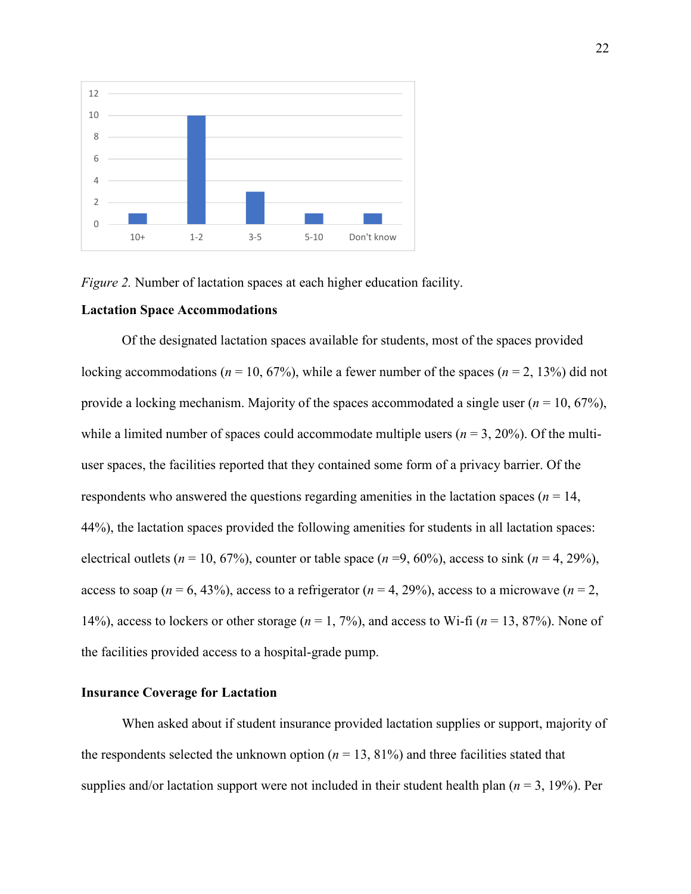

*Figure 2.* Number of lactation spaces at each higher education facility.

#### **Lactation Space Accommodations**

Of the designated lactation spaces available for students, most of the spaces provided locking accommodations ( $n = 10, 67\%$ ), while a fewer number of the spaces ( $n = 2, 13\%$ ) did not provide a locking mechanism. Majority of the spaces accommodated a single user (*n* = 10, 67%), while a limited number of spaces could accommodate multiple users  $(n = 3, 20\%)$ . Of the multiuser spaces, the facilities reported that they contained some form of a privacy barrier. Of the respondents who answered the questions regarding amenities in the lactation spaces ( $n = 14$ , 44%), the lactation spaces provided the following amenities for students in all lactation spaces: electrical outlets ( $n = 10, 67\%$ ), counter or table space ( $n = 9, 60\%$ ), access to sink ( $n = 4, 29\%$ ), access to soap ( $n = 6, 43\%$ ), access to a refrigerator ( $n = 4, 29\%$ ), access to a microwave ( $n = 2$ , 14%), access to lockers or other storage  $(n = 1, 7\%)$ , and access to Wi-fi  $(n = 13, 87\%)$ . None of the facilities provided access to a hospital-grade pump.

### **Insurance Coverage for Lactation**

When asked about if student insurance provided lactation supplies or support, majority of the respondents selected the unknown option  $(n = 13, 81\%)$  and three facilities stated that supplies and/or lactation support were not included in their student health plan ( $n = 3$ , 19%). Per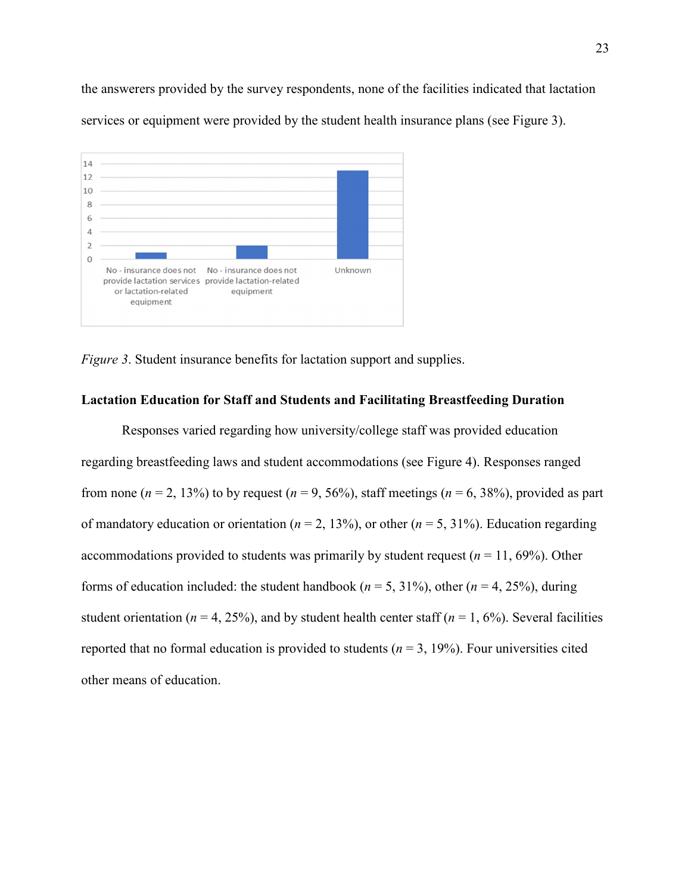the answerers provided by the survey respondents, none of the facilities indicated that lactation services or equipment were provided by the student health insurance plans (see Figure 3).



*Figure 3.* Student insurance benefits for lactation support and supplies.

# **Lactation Education for Staff and Students and Facilitating Breastfeeding Duration**

Responses varied regarding how university/college staff was provided education regarding breastfeeding laws and student accommodations (see Figure 4). Responses ranged from none ( $n = 2$ , 13%) to by request ( $n = 9$ , 56%), staff meetings ( $n = 6$ , 38%), provided as part of mandatory education or orientation ( $n = 2, 13\%$ ), or other ( $n = 5, 31\%$ ). Education regarding accommodations provided to students was primarily by student request  $(n = 11, 69\%)$ . Other forms of education included: the student handbook ( $n = 5$ , 31%), other ( $n = 4$ , 25%), during student orientation ( $n = 4$ , 25%), and by student health center staff ( $n = 1, 6\%$ ). Several facilities reported that no formal education is provided to students ( $n = 3$ , 19%). Four universities cited other means of education.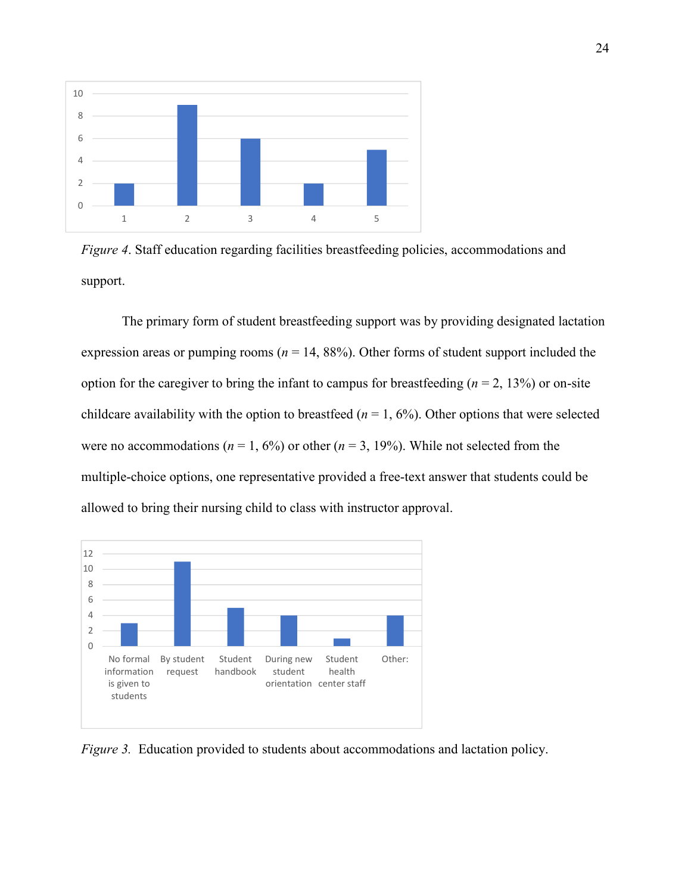

*Figure 4*. Staff education regarding facilities breastfeeding policies, accommodations and support.

 The primary form of student breastfeeding support was by providing designated lactation expression areas or pumping rooms ( $n = 14$ , 88%). Other forms of student support included the option for the caregiver to bring the infant to campus for breastfeeding  $(n = 2, 13\%)$  or on-site childcare availability with the option to breastfeed  $(n = 1, 6\%)$ . Other options that were selected were no accommodations ( $n = 1, 6\%$ ) or other ( $n = 3, 19\%$ ). While not selected from the multiple-choice options, one representative provided a free-text answer that students could be allowed to bring their nursing child to class with instructor approval.



*Figure 3.* Education provided to students about accommodations and lactation policy.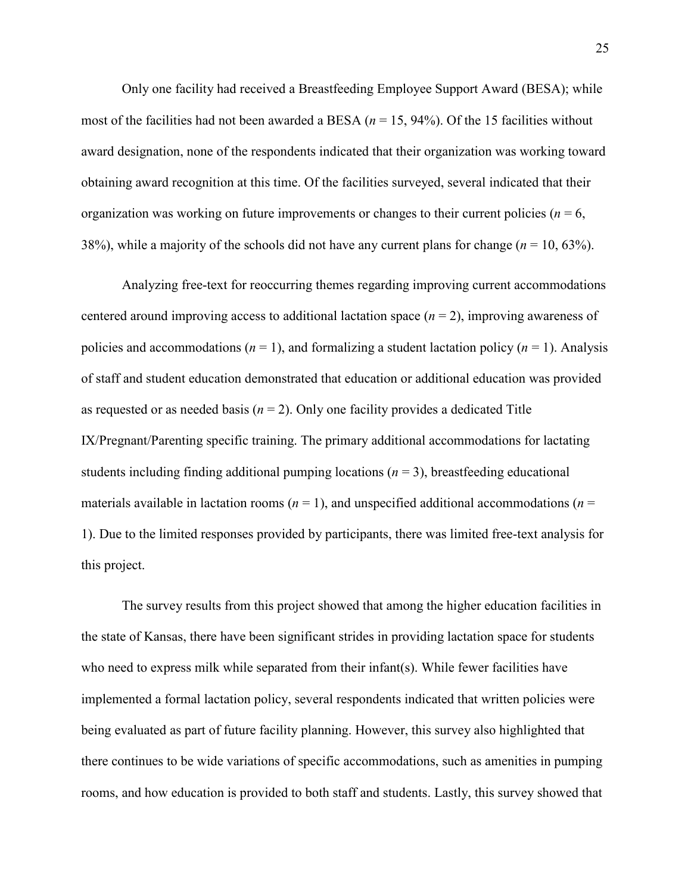Only one facility had received a Breastfeeding Employee Support Award (BESA); while most of the facilities had not been awarded a BESA  $(n = 15, 94%)$ . Of the 15 facilities without award designation, none of the respondents indicated that their organization was working toward obtaining award recognition at this time. Of the facilities surveyed, several indicated that their organization was working on future improvements or changes to their current policies ( $n = 6$ , 38%), while a majority of the schools did not have any current plans for change (*n* = 10, 63%).

Analyzing free-text for reoccurring themes regarding improving current accommodations centered around improving access to additional lactation space (*n* = 2), improving awareness of policies and accommodations ( $n = 1$ ), and formalizing a student lactation policy ( $n = 1$ ). Analysis of staff and student education demonstrated that education or additional education was provided as requested or as needed basis  $(n = 2)$ . Only one facility provides a dedicated Title IX/Pregnant/Parenting specific training. The primary additional accommodations for lactating students including finding additional pumping locations ( $n = 3$ ), breastfeeding educational materials available in lactation rooms ( $n = 1$ ), and unspecified additional accommodations ( $n =$ 1). Due to the limited responses provided by participants, there was limited free-text analysis for this project.

The survey results from this project showed that among the higher education facilities in the state of Kansas, there have been significant strides in providing lactation space for students who need to express milk while separated from their infant(s). While fewer facilities have implemented a formal lactation policy, several respondents indicated that written policies were being evaluated as part of future facility planning. However, this survey also highlighted that there continues to be wide variations of specific accommodations, such as amenities in pumping rooms, and how education is provided to both staff and students. Lastly, this survey showed that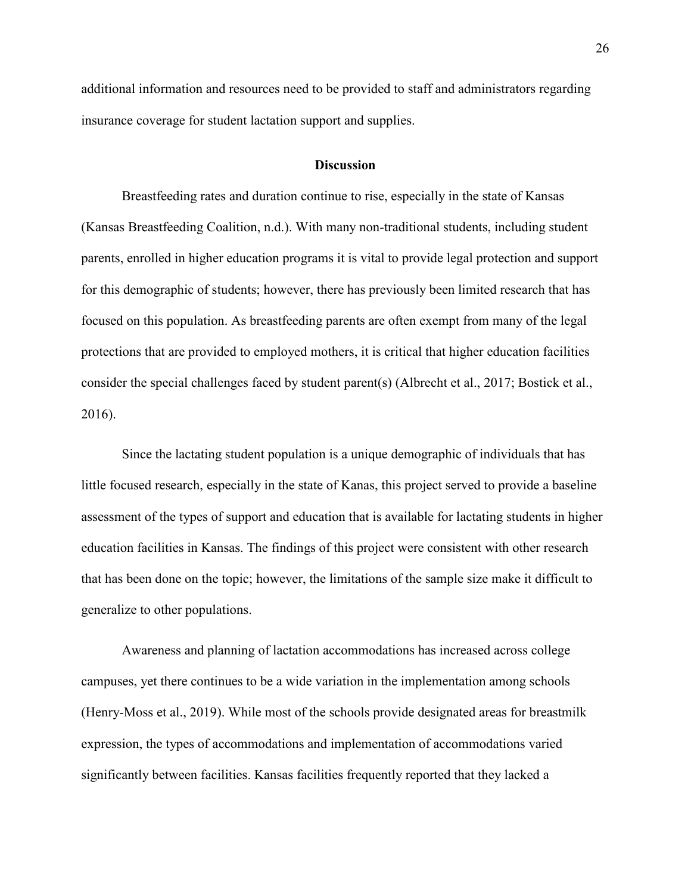additional information and resources need to be provided to staff and administrators regarding insurance coverage for student lactation support and supplies.

#### **Discussion**

 Breastfeeding rates and duration continue to rise, especially in the state of Kansas (Kansas Breastfeeding Coalition, n.d.). With many non-traditional students, including student parents, enrolled in higher education programs it is vital to provide legal protection and support for this demographic of students; however, there has previously been limited research that has focused on this population. As breastfeeding parents are often exempt from many of the legal protections that are provided to employed mothers, it is critical that higher education facilities consider the special challenges faced by student parent(s) (Albrecht et al., 2017; Bostick et al., 2016).

Since the lactating student population is a unique demographic of individuals that has little focused research, especially in the state of Kanas, this project served to provide a baseline assessment of the types of support and education that is available for lactating students in higher education facilities in Kansas. The findings of this project were consistent with other research that has been done on the topic; however, the limitations of the sample size make it difficult to generalize to other populations.

Awareness and planning of lactation accommodations has increased across college campuses, yet there continues to be a wide variation in the implementation among schools (Henry-Moss et al., 2019). While most of the schools provide designated areas for breastmilk expression, the types of accommodations and implementation of accommodations varied significantly between facilities. Kansas facilities frequently reported that they lacked a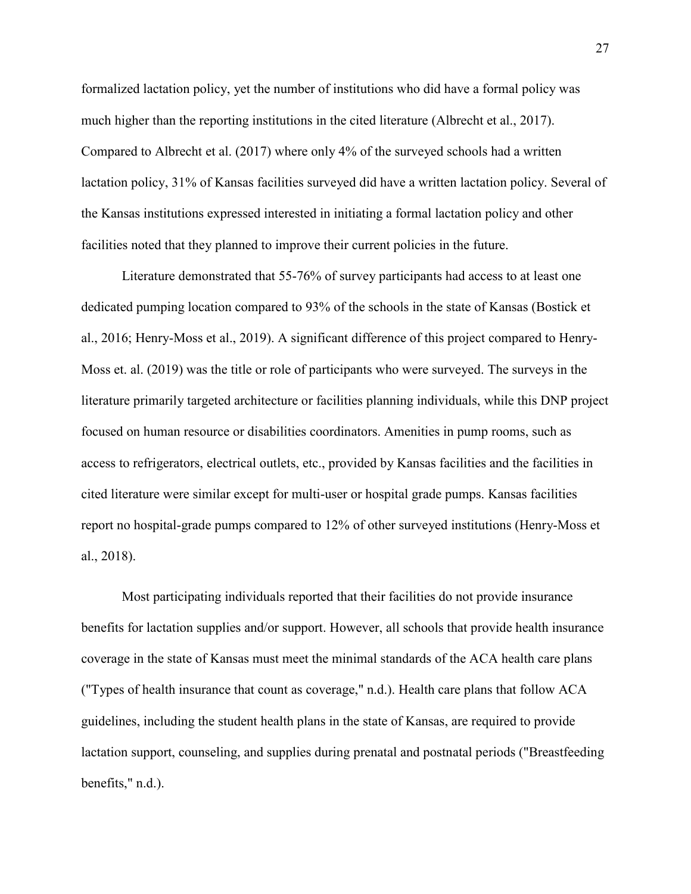formalized lactation policy, yet the number of institutions who did have a formal policy was much higher than the reporting institutions in the cited literature (Albrecht et al., 2017). Compared to Albrecht et al. (2017) where only 4% of the surveyed schools had a written lactation policy, 31% of Kansas facilities surveyed did have a written lactation policy. Several of the Kansas institutions expressed interested in initiating a formal lactation policy and other facilities noted that they planned to improve their current policies in the future.

 Literature demonstrated that 55-76% of survey participants had access to at least one dedicated pumping location compared to 93% of the schools in the state of Kansas (Bostick et al., 2016; Henry-Moss et al., 2019). A significant difference of this project compared to Henry-Moss et. al. (2019) was the title or role of participants who were surveyed. The surveys in the literature primarily targeted architecture or facilities planning individuals, while this DNP project focused on human resource or disabilities coordinators. Amenities in pump rooms, such as access to refrigerators, electrical outlets, etc., provided by Kansas facilities and the facilities in cited literature were similar except for multi-user or hospital grade pumps. Kansas facilities report no hospital-grade pumps compared to 12% of other surveyed institutions (Henry-Moss et al., 2018).

Most participating individuals reported that their facilities do not provide insurance benefits for lactation supplies and/or support. However, all schools that provide health insurance coverage in the state of Kansas must meet the minimal standards of the ACA health care plans ("Types of health insurance that count as coverage," n.d.). Health care plans that follow ACA guidelines, including the student health plans in the state of Kansas, are required to provide lactation support, counseling, and supplies during prenatal and postnatal periods ("Breastfeeding benefits," n.d.).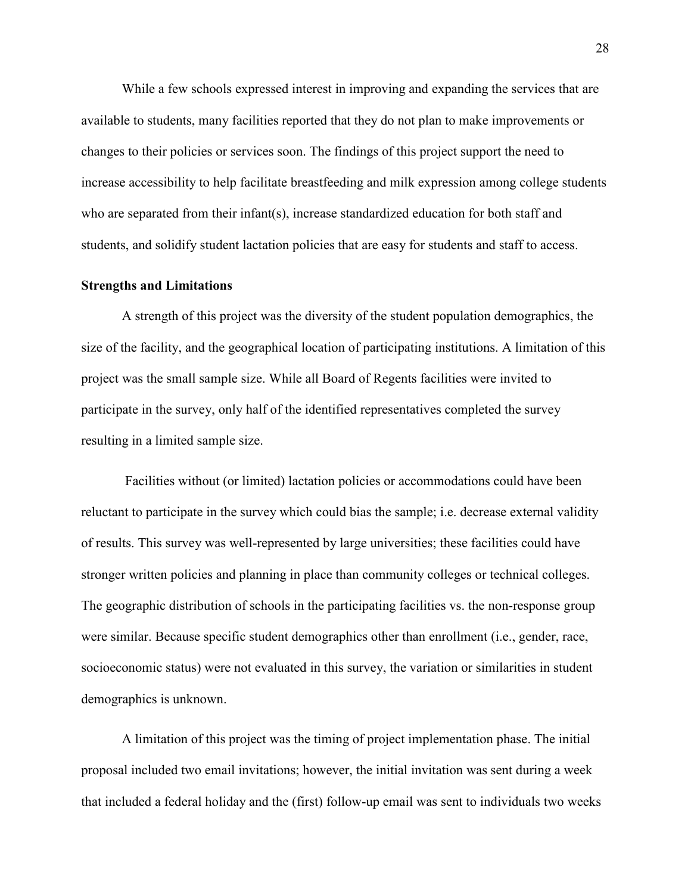While a few schools expressed interest in improving and expanding the services that are available to students, many facilities reported that they do not plan to make improvements or changes to their policies or services soon. The findings of this project support the need to increase accessibility to help facilitate breastfeeding and milk expression among college students who are separated from their infant(s), increase standardized education for both staff and students, and solidify student lactation policies that are easy for students and staff to access.

#### **Strengths and Limitations**

 A strength of this project was the diversity of the student population demographics, the size of the facility, and the geographical location of participating institutions. A limitation of this project was the small sample size. While all Board of Regents facilities were invited to participate in the survey, only half of the identified representatives completed the survey resulting in a limited sample size.

 Facilities without (or limited) lactation policies or accommodations could have been reluctant to participate in the survey which could bias the sample; i.e. decrease external validity of results. This survey was well-represented by large universities; these facilities could have stronger written policies and planning in place than community colleges or technical colleges. The geographic distribution of schools in the participating facilities vs. the non-response group were similar. Because specific student demographics other than enrollment (i.e., gender, race, socioeconomic status) were not evaluated in this survey, the variation or similarities in student demographics is unknown.

A limitation of this project was the timing of project implementation phase. The initial proposal included two email invitations; however, the initial invitation was sent during a week that included a federal holiday and the (first) follow-up email was sent to individuals two weeks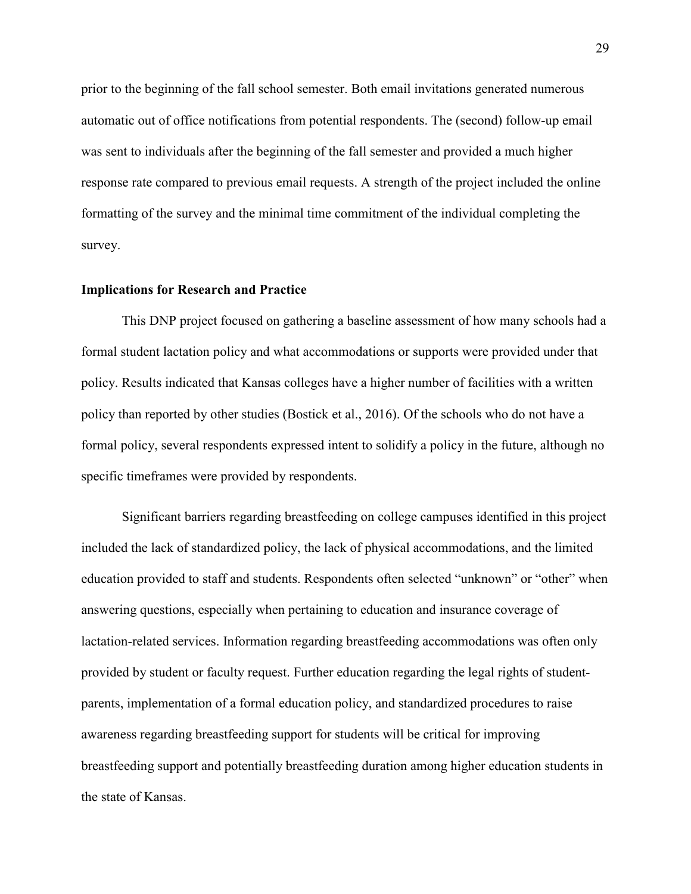prior to the beginning of the fall school semester. Both email invitations generated numerous automatic out of office notifications from potential respondents. The (second) follow-up email was sent to individuals after the beginning of the fall semester and provided a much higher response rate compared to previous email requests. A strength of the project included the online formatting of the survey and the minimal time commitment of the individual completing the survey.

#### **Implications for Research and Practice**

 This DNP project focused on gathering a baseline assessment of how many schools had a formal student lactation policy and what accommodations or supports were provided under that policy. Results indicated that Kansas colleges have a higher number of facilities with a written policy than reported by other studies (Bostick et al., 2016). Of the schools who do not have a formal policy, several respondents expressed intent to solidify a policy in the future, although no specific timeframes were provided by respondents.

 Significant barriers regarding breastfeeding on college campuses identified in this project included the lack of standardized policy, the lack of physical accommodations, and the limited education provided to staff and students. Respondents often selected "unknown" or "other" when answering questions, especially when pertaining to education and insurance coverage of lactation-related services. Information regarding breastfeeding accommodations was often only provided by student or faculty request. Further education regarding the legal rights of studentparents, implementation of a formal education policy, and standardized procedures to raise awareness regarding breastfeeding support for students will be critical for improving breastfeeding support and potentially breastfeeding duration among higher education students in the state of Kansas.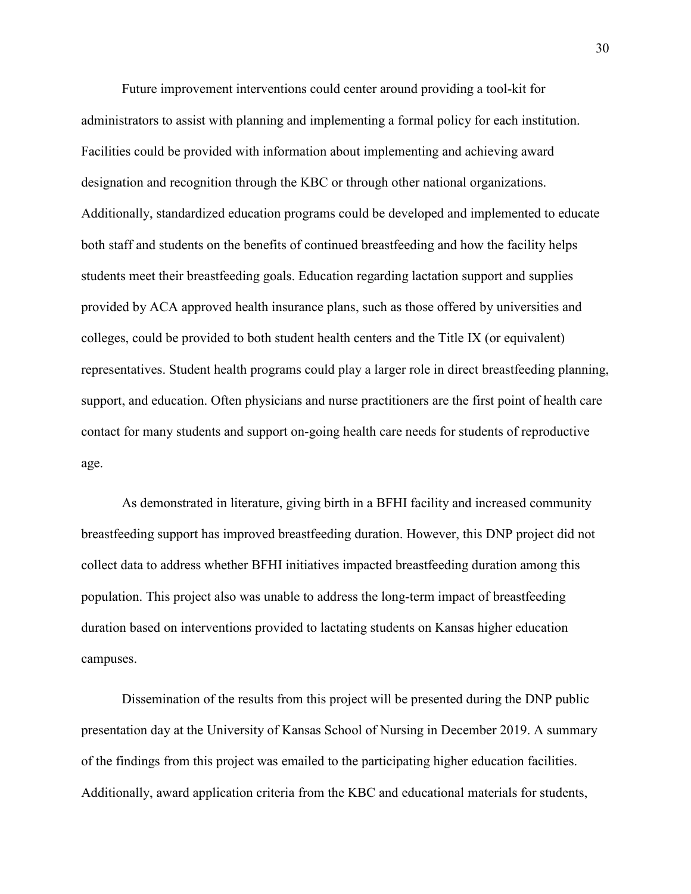Future improvement interventions could center around providing a tool-kit for administrators to assist with planning and implementing a formal policy for each institution. Facilities could be provided with information about implementing and achieving award designation and recognition through the KBC or through other national organizations. Additionally, standardized education programs could be developed and implemented to educate both staff and students on the benefits of continued breastfeeding and how the facility helps students meet their breastfeeding goals. Education regarding lactation support and supplies provided by ACA approved health insurance plans, such as those offered by universities and colleges, could be provided to both student health centers and the Title IX (or equivalent) representatives. Student health programs could play a larger role in direct breastfeeding planning, support, and education. Often physicians and nurse practitioners are the first point of health care contact for many students and support on-going health care needs for students of reproductive age.

 As demonstrated in literature, giving birth in a BFHI facility and increased community breastfeeding support has improved breastfeeding duration. However, this DNP project did not collect data to address whether BFHI initiatives impacted breastfeeding duration among this population. This project also was unable to address the long-term impact of breastfeeding duration based on interventions provided to lactating students on Kansas higher education campuses.

 Dissemination of the results from this project will be presented during the DNP public presentation day at the University of Kansas School of Nursing in December 2019. A summary of the findings from this project was emailed to the participating higher education facilities. Additionally, award application criteria from the KBC and educational materials for students,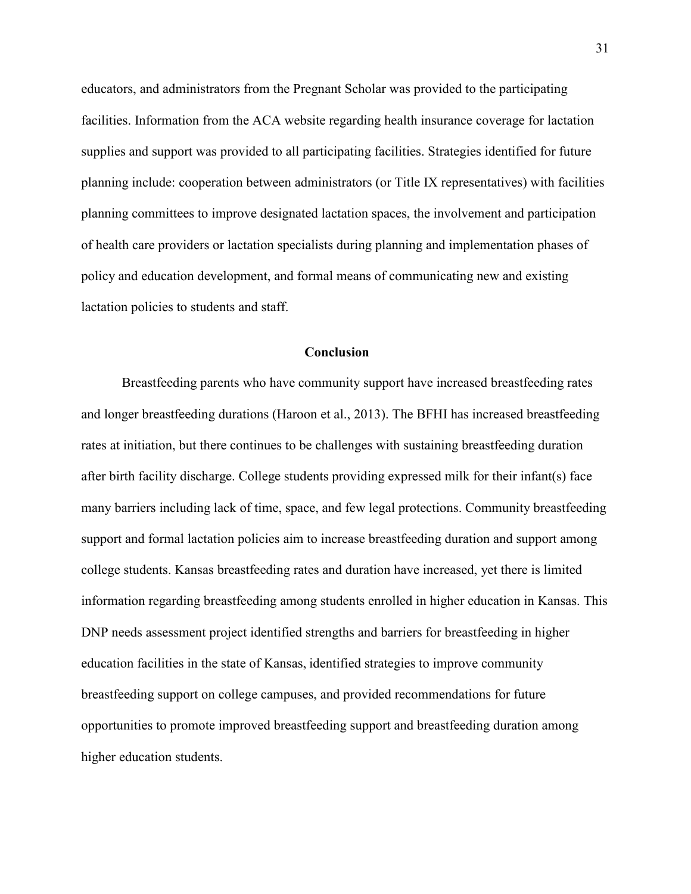educators, and administrators from the Pregnant Scholar was provided to the participating facilities. Information from the ACA website regarding health insurance coverage for lactation supplies and support was provided to all participating facilities. Strategies identified for future planning include: cooperation between administrators (or Title IX representatives) with facilities planning committees to improve designated lactation spaces, the involvement and participation of health care providers or lactation specialists during planning and implementation phases of policy and education development, and formal means of communicating new and existing lactation policies to students and staff.

#### **Conclusion**

Breastfeeding parents who have community support have increased breastfeeding rates and longer breastfeeding durations (Haroon et al., 2013). The BFHI has increased breastfeeding rates at initiation, but there continues to be challenges with sustaining breastfeeding duration after birth facility discharge. College students providing expressed milk for their infant(s) face many barriers including lack of time, space, and few legal protections. Community breastfeeding support and formal lactation policies aim to increase breastfeeding duration and support among college students. Kansas breastfeeding rates and duration have increased, yet there is limited information regarding breastfeeding among students enrolled in higher education in Kansas. This DNP needs assessment project identified strengths and barriers for breastfeeding in higher education facilities in the state of Kansas, identified strategies to improve community breastfeeding support on college campuses, and provided recommendations for future opportunities to promote improved breastfeeding support and breastfeeding duration among higher education students.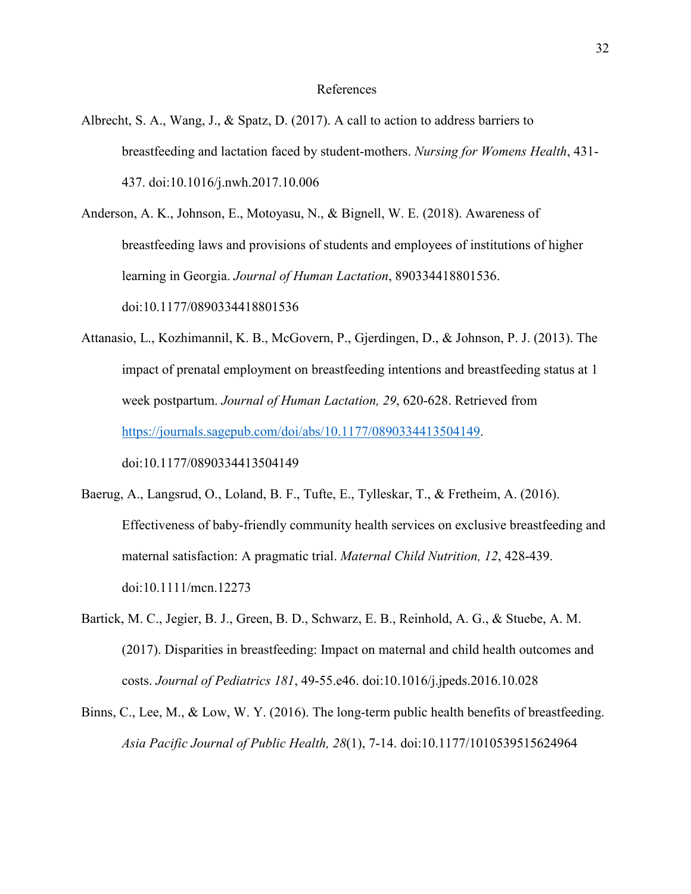#### References

Albrecht, S. A., Wang, J., & Spatz, D. (2017). A call to action to address barriers to breastfeeding and lactation faced by student-mothers. *Nursing for Womens Health*, 431- 437. doi:10.1016/j.nwh.2017.10.006

Anderson, A. K., Johnson, E., Motoyasu, N., & Bignell, W. E. (2018). Awareness of breastfeeding laws and provisions of students and employees of institutions of higher learning in Georgia. *Journal of Human Lactation*, 890334418801536. doi:10.1177/0890334418801536

- Attanasio, L., Kozhimannil, K. B., McGovern, P., Gjerdingen, D., & Johnson, P. J. (2013). The impact of prenatal employment on breastfeeding intentions and breastfeeding status at 1 week postpartum. *Journal of Human Lactation, 29*, 620-628. Retrieved from https://journals.sagepub.com/doi/abs/10.1177/0890334413504149. doi:10.1177/0890334413504149
- Baerug, A., Langsrud, O., Loland, B. F., Tufte, E., Tylleskar, T., & Fretheim, A. (2016). Effectiveness of baby-friendly community health services on exclusive breastfeeding and maternal satisfaction: A pragmatic trial. *Maternal Child Nutrition, 12*, 428-439. doi:10.1111/mcn.12273
- Bartick, M. C., Jegier, B. J., Green, B. D., Schwarz, E. B., Reinhold, A. G., & Stuebe, A. M. (2017). Disparities in breastfeeding: Impact on maternal and child health outcomes and costs. *Journal of Pediatrics 181*, 49-55.e46. doi:10.1016/j.jpeds.2016.10.028
- Binns, C., Lee, M., & Low, W. Y. (2016). The long-term public health benefits of breastfeeding. *Asia Pacific Journal of Public Health, 28*(1), 7-14. doi:10.1177/1010539515624964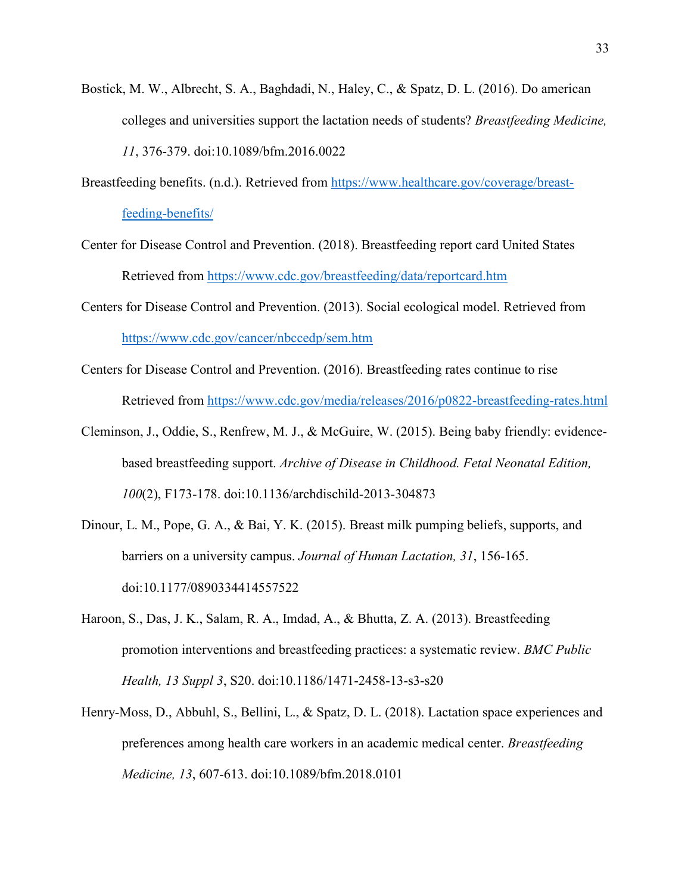- Bostick, M. W., Albrecht, S. A., Baghdadi, N., Haley, C., & Spatz, D. L. (2016). Do american colleges and universities support the lactation needs of students? *Breastfeeding Medicine, 11*, 376-379. doi:10.1089/bfm.2016.0022
- Breastfeeding benefits. (n.d.). Retrieved from https://www.healthcare.gov/coverage/breastfeeding-benefits/
- Center for Disease Control and Prevention. (2018). Breastfeeding report card United States Retrieved from https://www.cdc.gov/breastfeeding/data/reportcard.htm
- Centers for Disease Control and Prevention. (2013). Social ecological model. Retrieved from https://www.cdc.gov/cancer/nbccedp/sem.htm
- Centers for Disease Control and Prevention. (2016). Breastfeeding rates continue to rise Retrieved from https://www.cdc.gov/media/releases/2016/p0822-breastfeeding-rates.html
- Cleminson, J., Oddie, S., Renfrew, M. J., & McGuire, W. (2015). Being baby friendly: evidencebased breastfeeding support. *Archive of Disease in Childhood. Fetal Neonatal Edition, 100*(2), F173-178. doi:10.1136/archdischild-2013-304873
- Dinour, L. M., Pope, G. A., & Bai, Y. K. (2015). Breast milk pumping beliefs, supports, and barriers on a university campus. *Journal of Human Lactation, 31*, 156-165. doi:10.1177/0890334414557522
- Haroon, S., Das, J. K., Salam, R. A., Imdad, A., & Bhutta, Z. A. (2013). Breastfeeding promotion interventions and breastfeeding practices: a systematic review. *BMC Public Health, 13 Suppl 3*, S20. doi:10.1186/1471-2458-13-s3-s20
- Henry-Moss, D., Abbuhl, S., Bellini, L., & Spatz, D. L. (2018). Lactation space experiences and preferences among health care workers in an academic medical center. *Breastfeeding Medicine, 13*, 607-613. doi:10.1089/bfm.2018.0101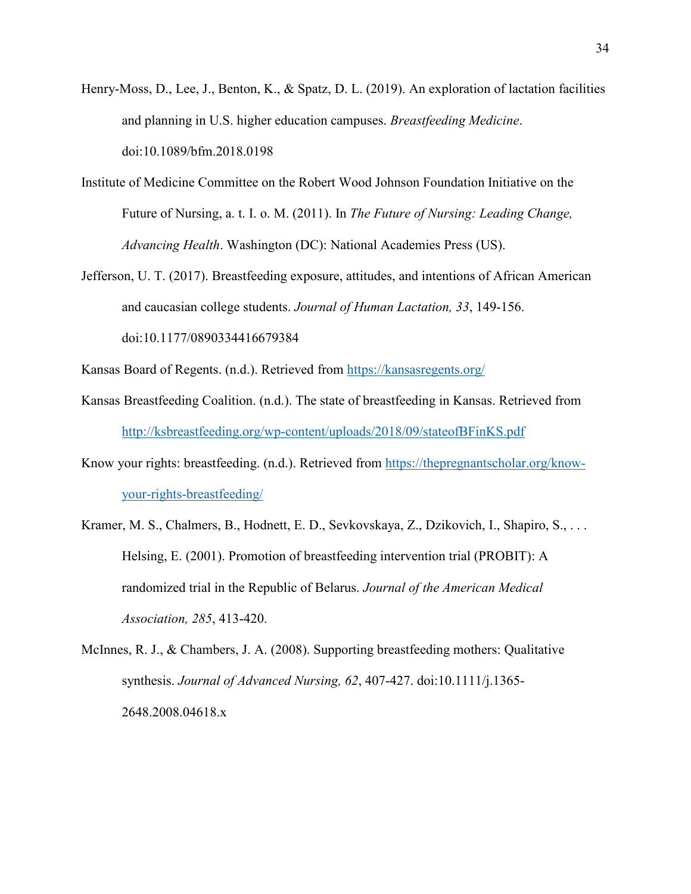- Henry-Moss, D., Lee, J., Benton, K., & Spatz, D. L. (2019). An exploration of lactation facilities and planning in U.S. higher education campuses. *Breastfeeding Medicine*. doi:10.1089/bfm.2018.0198
- Institute of Medicine Committee on the Robert Wood Johnson Foundation Initiative on the Future of Nursing, a. t. I. o. M. (2011). In *The Future of Nursing: Leading Change, Advancing Health*. Washington (DC): National Academies Press (US).
- Jefferson, U. T. (2017). Breastfeeding exposure, attitudes, and intentions of African American and caucasian college students. *Journal of Human Lactation, 33*, 149-156. doi:10.1177/0890334416679384

Kansas Board of Regents. (n.d.). Retrieved from https://kansasregents.org/

- Kansas Breastfeeding Coalition. (n.d.). The state of breastfeeding in Kansas. Retrieved from http://ksbreastfeeding.org/wp-content/uploads/2018/09/stateofBFinKS.pdf
- Know your rights: breastfeeding. (n.d.). Retrieved from https://thepregnantscholar.org/knowyour-rights-breastfeeding/
- Kramer, M. S., Chalmers, B., Hodnett, E. D., Sevkovskaya, Z., Dzikovich, I., Shapiro, S., . . . Helsing, E. (2001). Promotion of breastfeeding intervention trial (PROBIT): A randomized trial in the Republic of Belarus. *Journal of the American Medical Association, 285*, 413-420.
- McInnes, R. J., & Chambers, J. A. (2008). Supporting breastfeeding mothers: Qualitative synthesis. *Journal of Advanced Nursing, 62*, 407-427. doi:10.1111/j.1365- 2648.2008.04618.x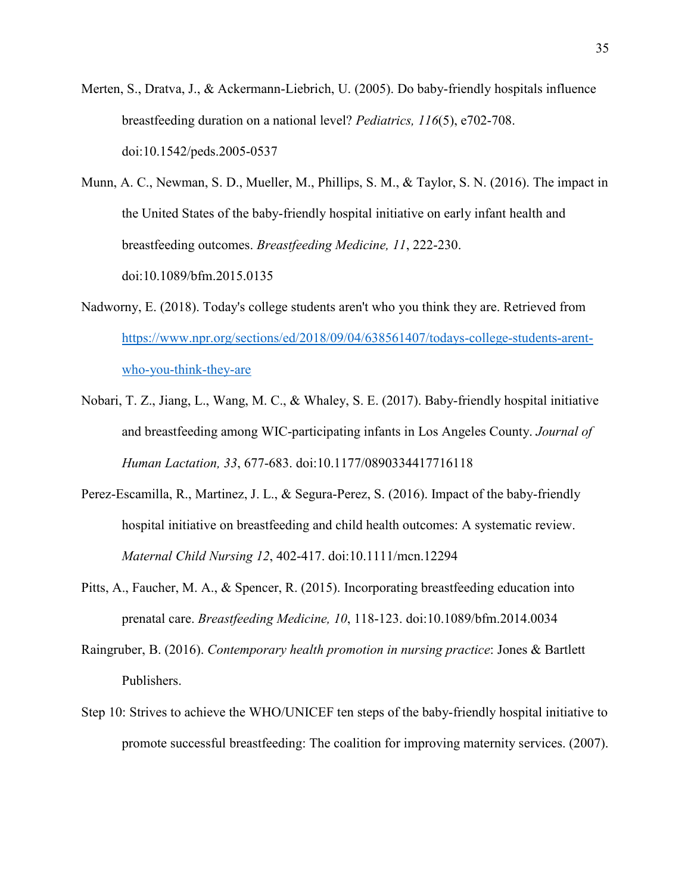- Merten, S., Dratva, J., & Ackermann-Liebrich, U. (2005). Do baby-friendly hospitals influence breastfeeding duration on a national level? *Pediatrics, 116*(5), e702-708. doi:10.1542/peds.2005-0537
- Munn, A. C., Newman, S. D., Mueller, M., Phillips, S. M., & Taylor, S. N. (2016). The impact in the United States of the baby-friendly hospital initiative on early infant health and breastfeeding outcomes. *Breastfeeding Medicine, 11*, 222-230. doi:10.1089/bfm.2015.0135
- Nadworny, E. (2018). Today's college students aren't who you think they are. Retrieved from https://www.npr.org/sections/ed/2018/09/04/638561407/todays-college-students-arentwho-you-think-they-are
- Nobari, T. Z., Jiang, L., Wang, M. C., & Whaley, S. E. (2017). Baby-friendly hospital initiative and breastfeeding among WIC-participating infants in Los Angeles County. *Journal of Human Lactation, 33*, 677-683. doi:10.1177/0890334417716118
- Perez-Escamilla, R., Martinez, J. L., & Segura-Perez, S. (2016). Impact of the baby-friendly hospital initiative on breastfeeding and child health outcomes: A systematic review. *Maternal Child Nursing 12*, 402-417. doi:10.1111/mcn.12294
- Pitts, A., Faucher, M. A., & Spencer, R. (2015). Incorporating breastfeeding education into prenatal care. *Breastfeeding Medicine, 10*, 118-123. doi:10.1089/bfm.2014.0034
- Raingruber, B. (2016). *Contemporary health promotion in nursing practice*: Jones & Bartlett Publishers.
- Step 10: Strives to achieve the WHO/UNICEF ten steps of the baby-friendly hospital initiative to promote successful breastfeeding: The coalition for improving maternity services. (2007).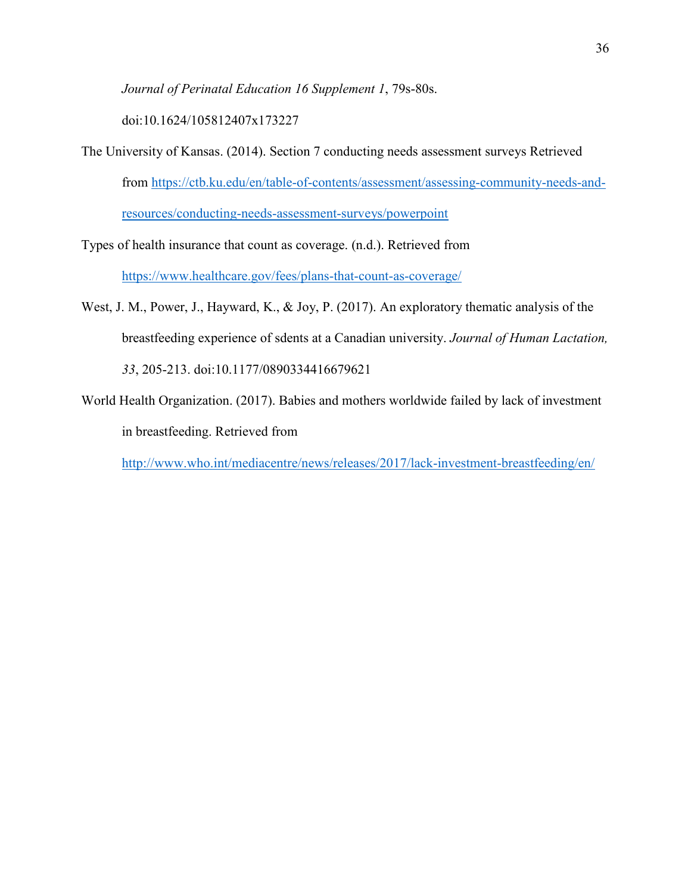*Journal of Perinatal Education 16 Supplement 1*, 79s-80s.

doi:10.1624/105812407x173227

The University of Kansas. (2014). Section 7 conducting needs assessment surveys Retrieved from https://ctb.ku.edu/en/table-of-contents/assessment/assessing-community-needs-andresources/conducting-needs-assessment-surveys/powerpoint

Types of health insurance that count as coverage. (n.d.). Retrieved from

https://www.healthcare.gov/fees/plans-that-count-as-coverage/

- West, J. M., Power, J., Hayward, K., & Joy, P. (2017). An exploratory thematic analysis of the breastfeeding experience of sdents at a Canadian university. *Journal of Human Lactation, 33*, 205-213. doi:10.1177/0890334416679621
- World Health Organization. (2017). Babies and mothers worldwide failed by lack of investment in breastfeeding. Retrieved from

http://www.who.int/mediacentre/news/releases/2017/lack-investment-breastfeeding/en/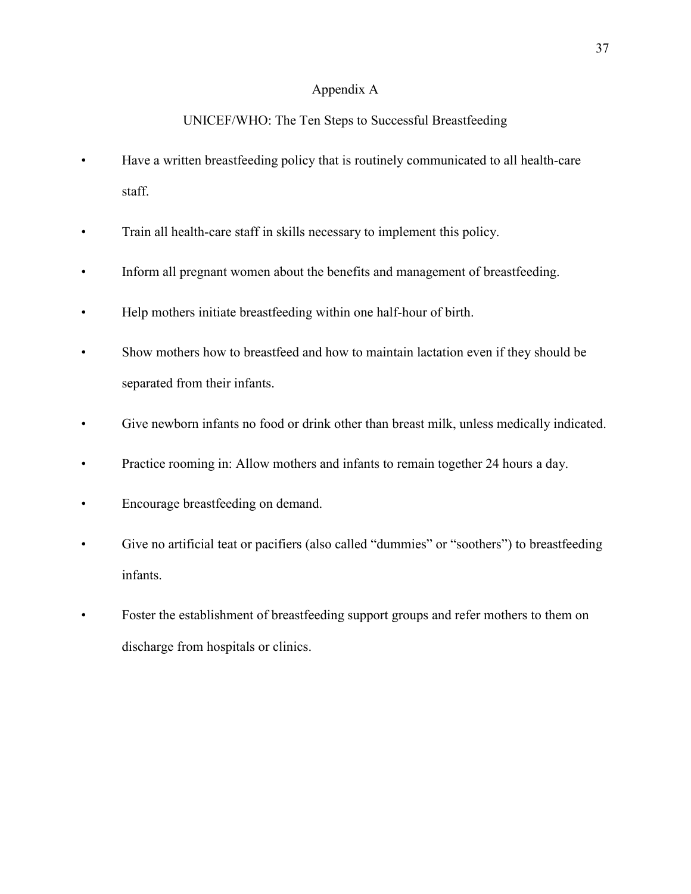# Appendix A

# UNICEF/WHO: The Ten Steps to Successful Breastfeeding

- Have a written breastfeeding policy that is routinely communicated to all health-care staff.
- Train all health-care staff in skills necessary to implement this policy.
- Inform all pregnant women about the benefits and management of breastfeeding.
- Help mothers initiate breastfeeding within one half-hour of birth.
- Show mothers how to breastfeed and how to maintain lactation even if they should be separated from their infants.
- Give newborn infants no food or drink other than breast milk, unless medically indicated.
- Practice rooming in: Allow mothers and infants to remain together 24 hours a day.
- Encourage breastfeeding on demand.
- Give no artificial teat or pacifiers (also called "dummies" or "soothers") to breastfeeding infants.
- Foster the establishment of breastfeeding support groups and refer mothers to them on discharge from hospitals or clinics.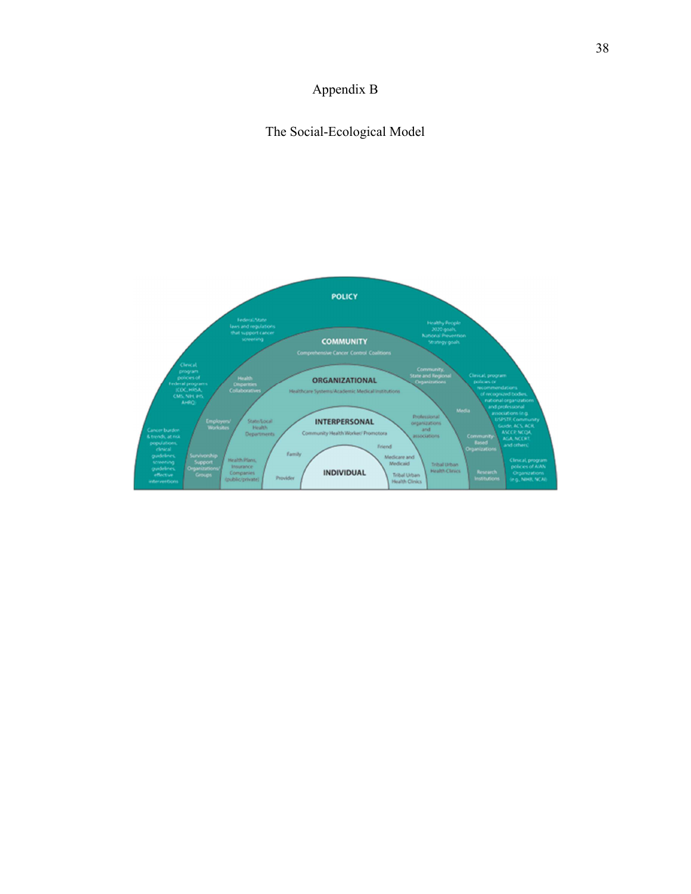# Appendix B

# The Social-Ecological Model

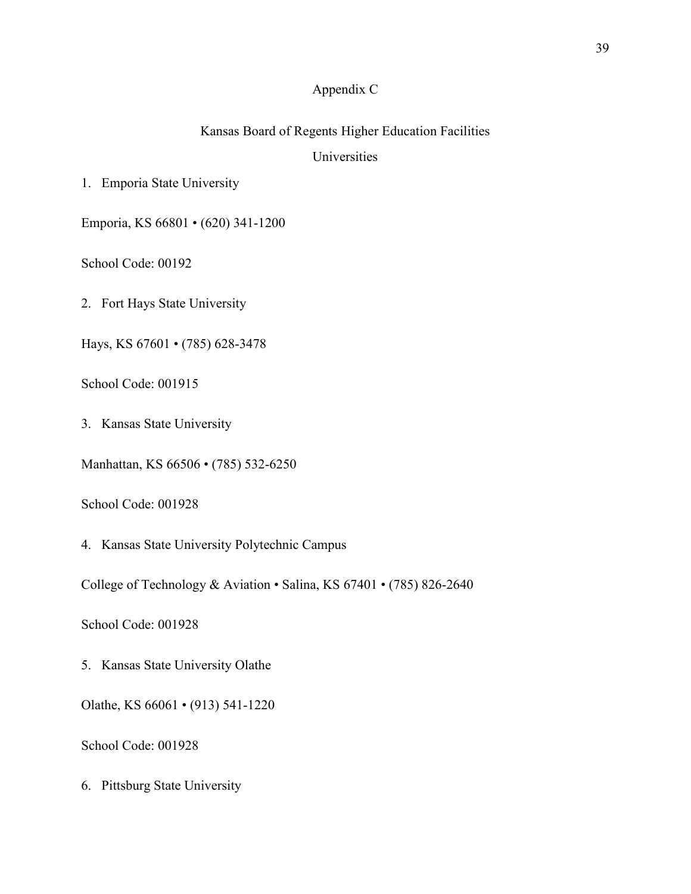# Appendix C

# Kansas Board of Regents Higher Education Facilities

# Universities

1. Emporia State University

Emporia, KS 66801 • (620) 341-1200

School Code: 00192

2. Fort Hays State University

Hays, KS 67601 • (785) 628-3478

School Code: 001915

3. Kansas State University

Manhattan, KS 66506 • (785) 532-6250

School Code: 001928

4. Kansas State University Polytechnic Campus

College of Technology & Aviation • Salina, KS 67401 • (785) 826-2640

School Code: 001928

5. Kansas State University Olathe

Olathe, KS 66061 • (913) 541-1220

School Code: 001928

6. Pittsburg State University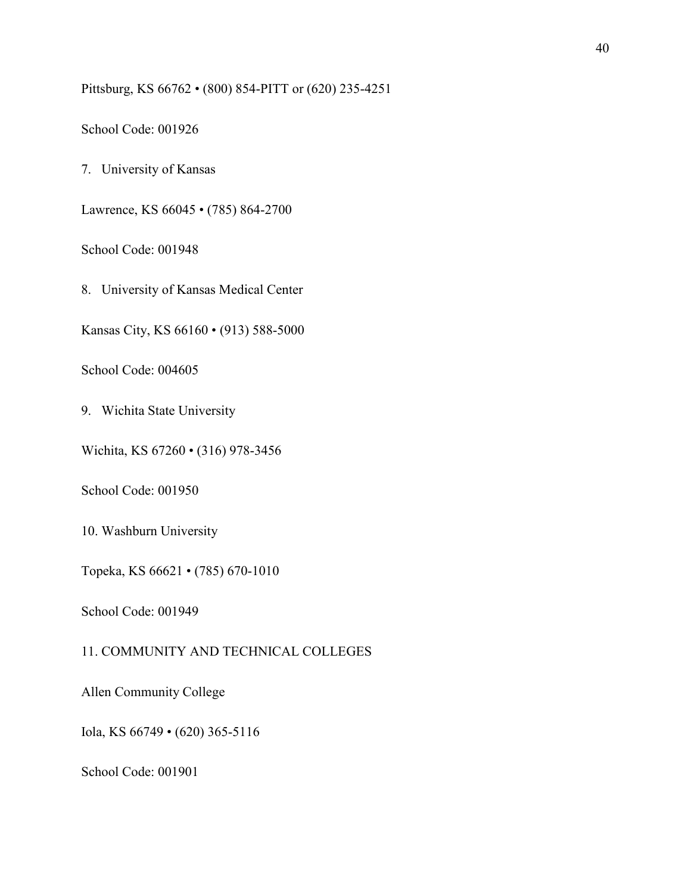Pittsburg, KS 66762 • (800) 854-PITT or (620) 235-4251

School Code: 001926

7. University of Kansas

Lawrence, KS 66045 • (785) 864-2700

School Code: 001948

8. University of Kansas Medical Center

Kansas City, KS 66160 • (913) 588-5000

School Code: 004605

9. Wichita State University

Wichita, KS 67260 • (316) 978-3456

School Code: 001950

10. Washburn University

Topeka, KS 66621 • (785) 670-1010

School Code: 001949

11. COMMUNITY AND TECHNICAL COLLEGES

Allen Community College

Iola, KS 66749 • (620) 365-5116

School Code: 001901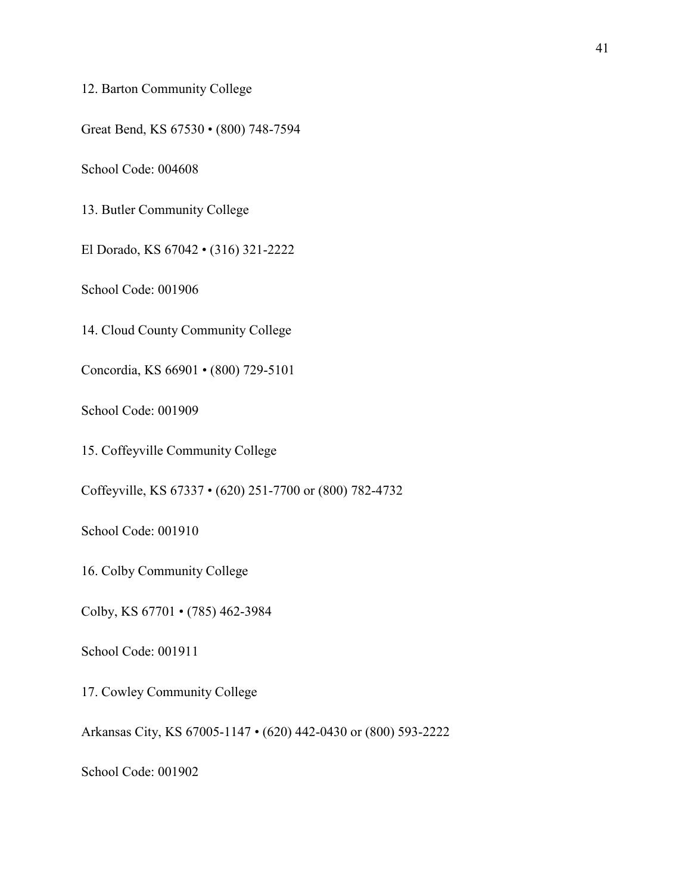12. Barton Community College

Great Bend, KS 67530 • (800) 748-7594

School Code: 004608

13. Butler Community College

El Dorado, KS 67042 • (316) 321-2222

School Code: 001906

14. Cloud County Community College

Concordia, KS 66901 • (800) 729-5101

School Code: 001909

15. Coffeyville Community College

Coffeyville, KS 67337 • (620) 251-7700 or (800) 782-4732

School Code: 001910

16. Colby Community College

Colby, KS 67701 • (785) 462-3984

School Code: 001911

17. Cowley Community College

Arkansas City, KS 67005-1147 • (620) 442-0430 or (800) 593-2222

School Code: 001902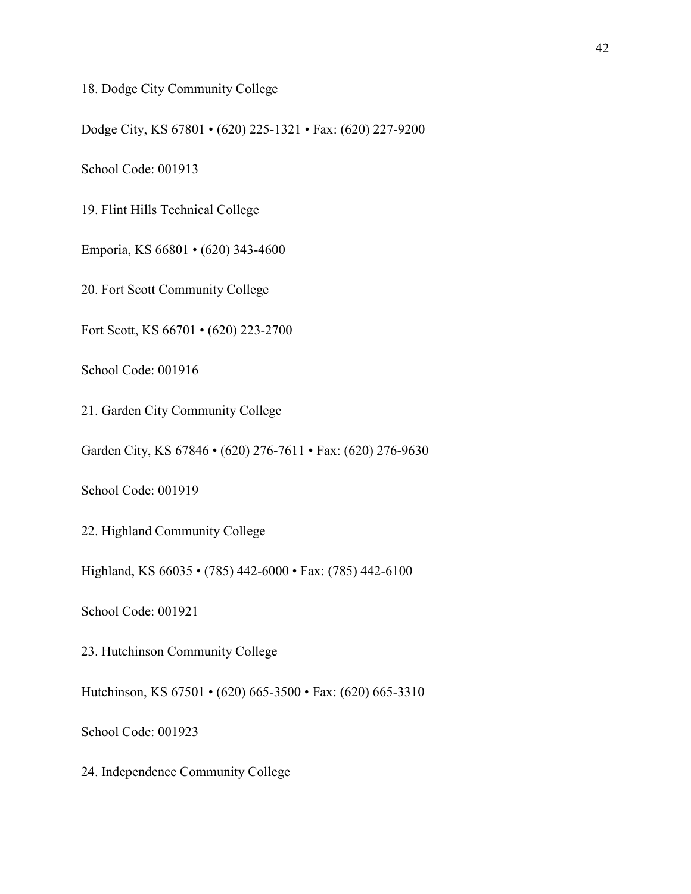18. Dodge City Community College

Dodge City, KS 67801 • (620) 225-1321 • Fax: (620) 227-9200

School Code: 001913

19. Flint Hills Technical College

Emporia, KS 66801 • (620) 343-4600

20. Fort Scott Community College

Fort Scott, KS 66701 • (620) 223-2700

School Code: 001916

21. Garden City Community College

Garden City, KS 67846 • (620) 276-7611 • Fax: (620) 276-9630

School Code: 001919

22. Highland Community College

Highland, KS 66035 • (785) 442-6000 • Fax: (785) 442-6100

School Code: 001921

23. Hutchinson Community College

Hutchinson, KS 67501 • (620) 665-3500 • Fax: (620) 665-3310

School Code: 001923

24. Independence Community College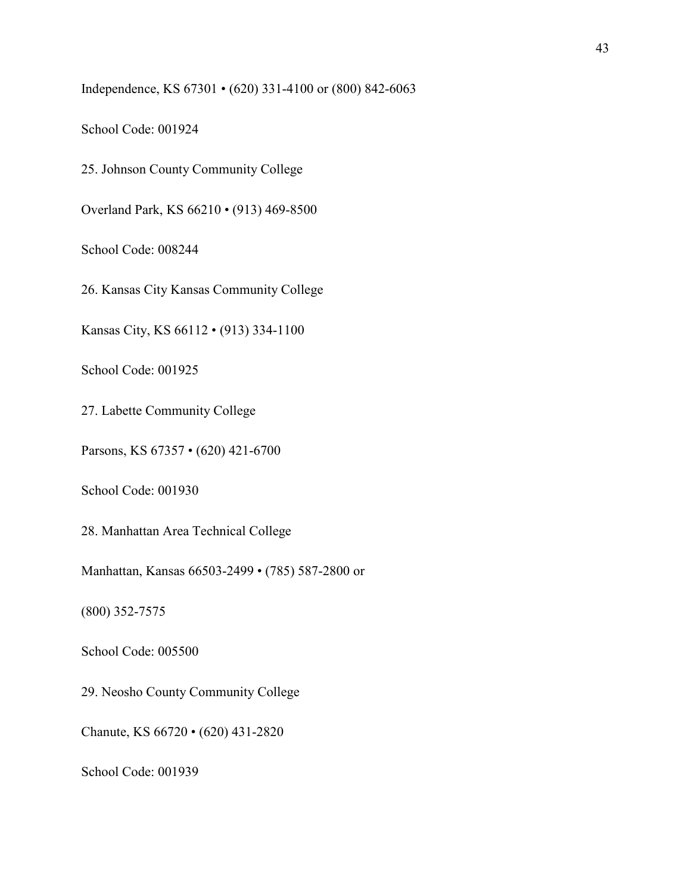Independence, KS 67301 • (620) 331-4100 or (800) 842-6063

School Code: 001924

25. Johnson County Community College

Overland Park, KS 66210 • (913) 469-8500

School Code: 008244

26. Kansas City Kansas Community College

Kansas City, KS 66112 • (913) 334-1100

School Code: 001925

27. Labette Community College

Parsons, KS 67357 • (620) 421-6700

School Code: 001930

28. Manhattan Area Technical College

Manhattan, Kansas 66503-2499 • (785) 587-2800 or

(800) 352-7575

School Code: 005500

29. Neosho County Community College

Chanute, KS 66720 • (620) 431-2820

School Code: 001939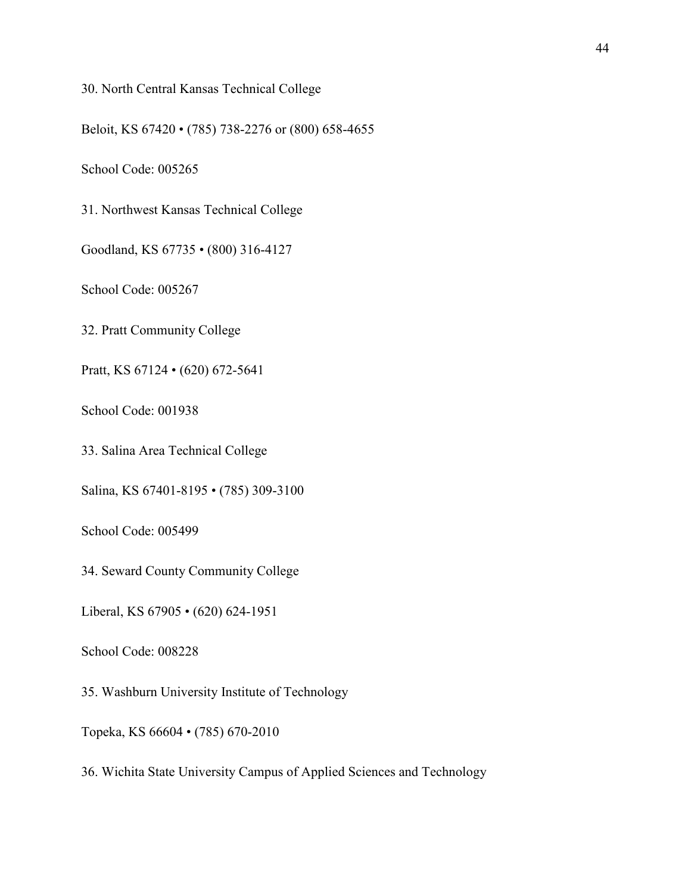# 30. North Central Kansas Technical College

Beloit, KS 67420 • (785) 738-2276 or (800) 658-4655

School Code: 005265

31. Northwest Kansas Technical College

Goodland, KS 67735 • (800) 316-4127

School Code: 005267

32. Pratt Community College

Pratt, KS 67124 • (620) 672-5641

School Code: 001938

33. Salina Area Technical College

Salina, KS 67401-8195 • (785) 309-3100

School Code: 005499

34. Seward County Community College

Liberal, KS 67905 • (620) 624-1951

School Code: 008228

35. Washburn University Institute of Technology

Topeka, KS 66604 • (785) 670-2010

36. Wichita State University Campus of Applied Sciences and Technology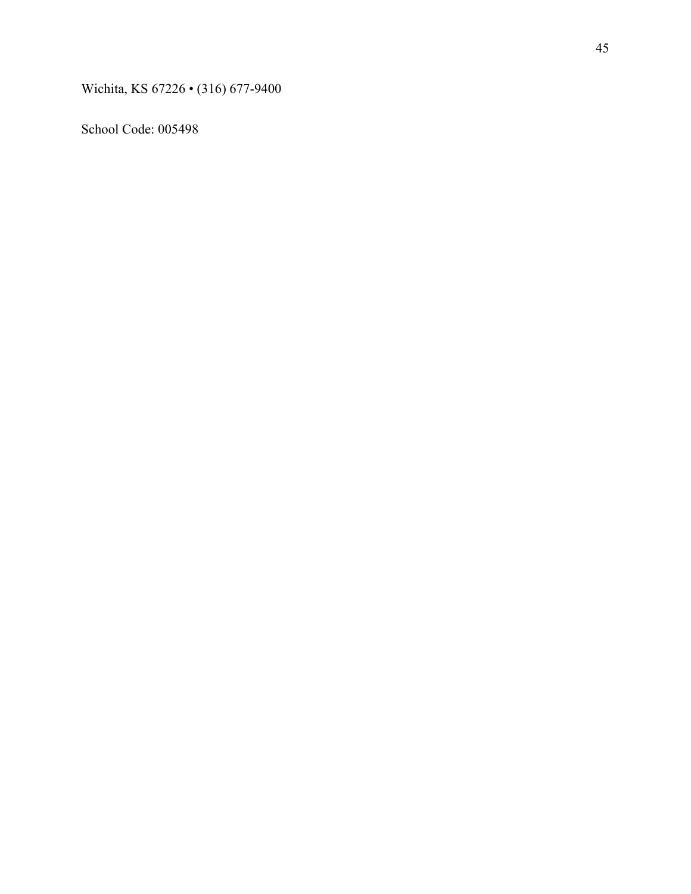Wichita, KS 67226 • (316) 677-9400

School Code: 005498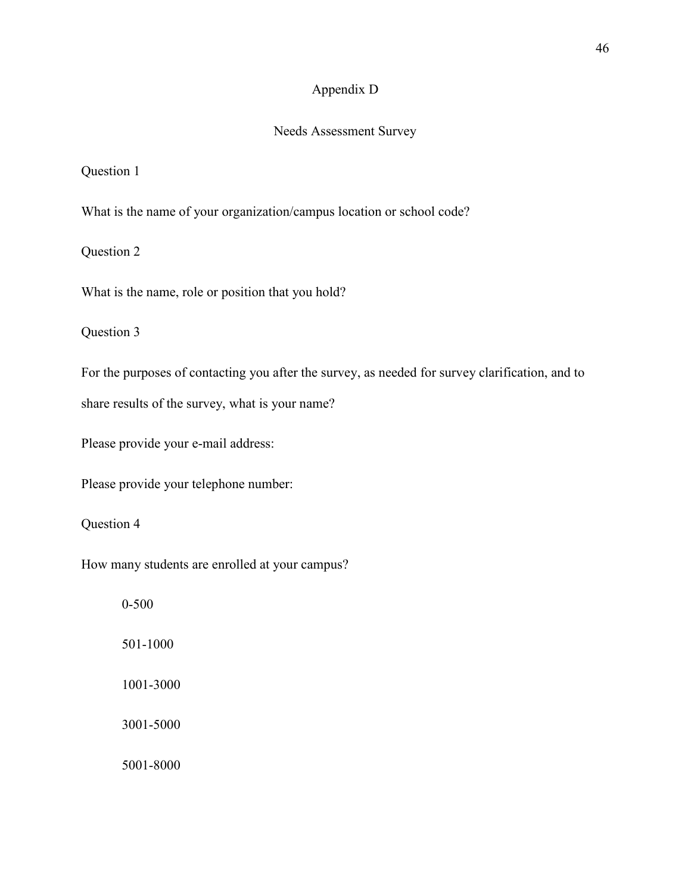# Appendix D

# Needs Assessment Survey

# Question 1

What is the name of your organization/campus location or school code?

Question 2

What is the name, role or position that you hold?

Question 3

For the purposes of contacting you after the survey, as needed for survey clarification, and to

share results of the survey, what is your name?

Please provide your e-mail address:

Please provide your telephone number:

Question 4

How many students are enrolled at your campus?

 0-500 501-1000 1001-3000 3001-5000 5001-8000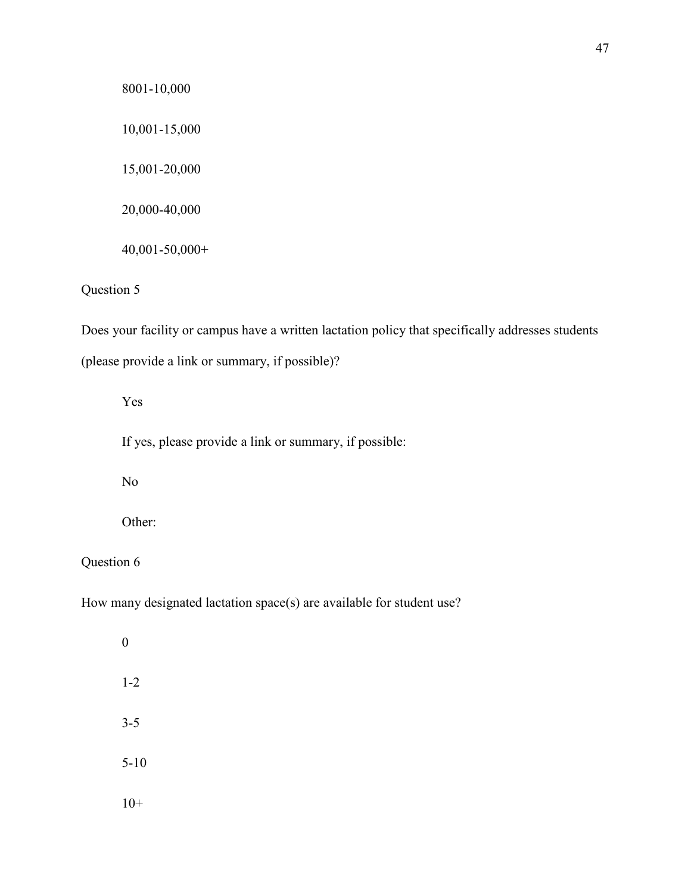8001-10,000 10,001-15,000 15,001-20,000 20,000-40,000 40,001-50,000+

# Question 5

Does your facility or campus have a written lactation policy that specifically addresses students (please provide a link or summary, if possible)?

Yes

If yes, please provide a link or summary, if possible:

No

Other:

Question 6

How many designated lactation space(s) are available for student use?

 0 1-2 3-5 5-10  $10+$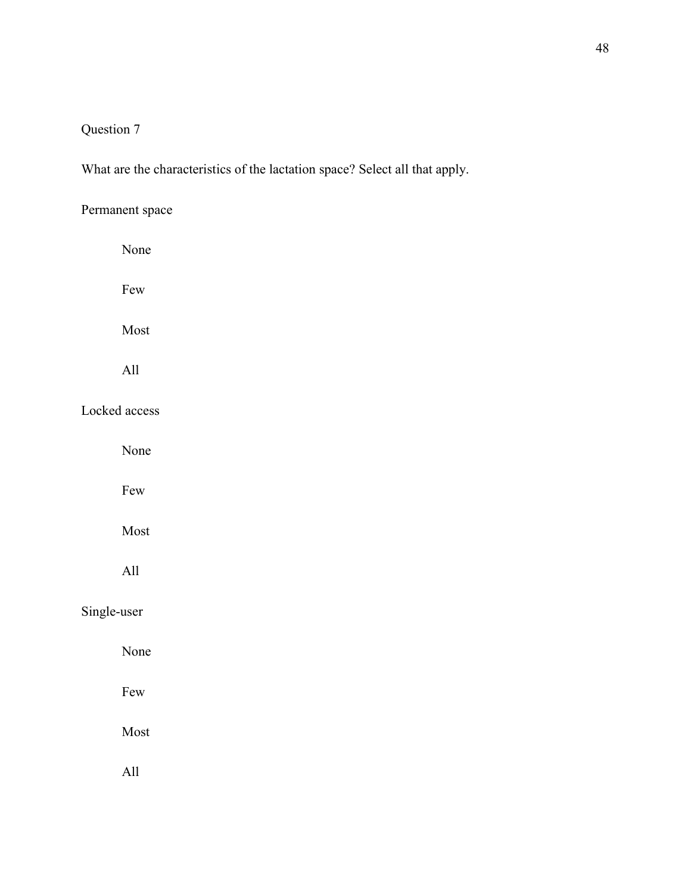# Question 7

What are the characteristics of the lactation space? Select all that apply.

Permanent space None Few Most All Locked access None Few Most All Single-user None Few Most All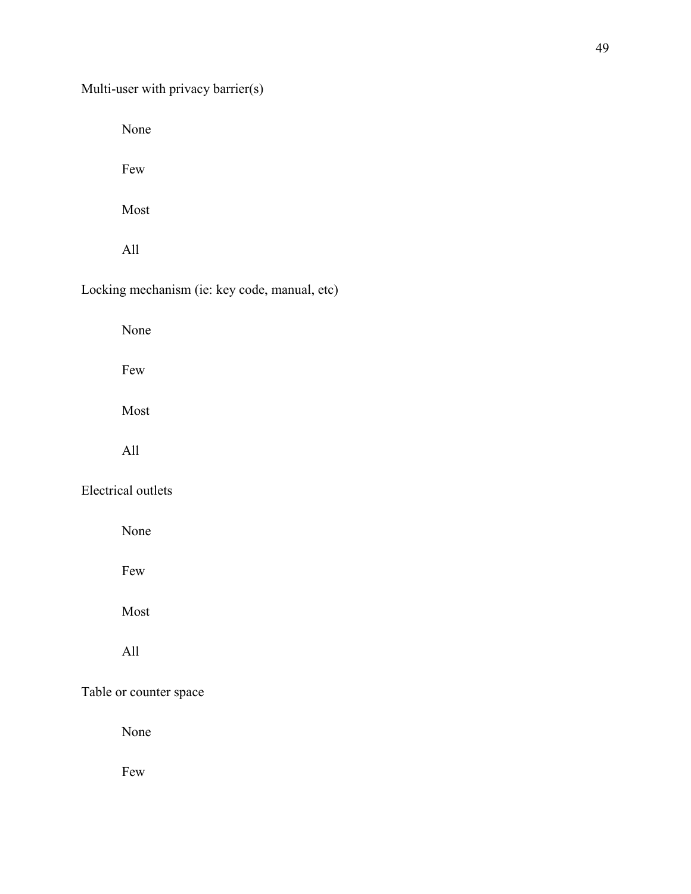None

Few

Most

All

# Locking mechanism (ie: key code, manual, etc)

None

Few

Most

All

# Electrical outlets

None

Few

Most

All

# Table or counter space

None

Few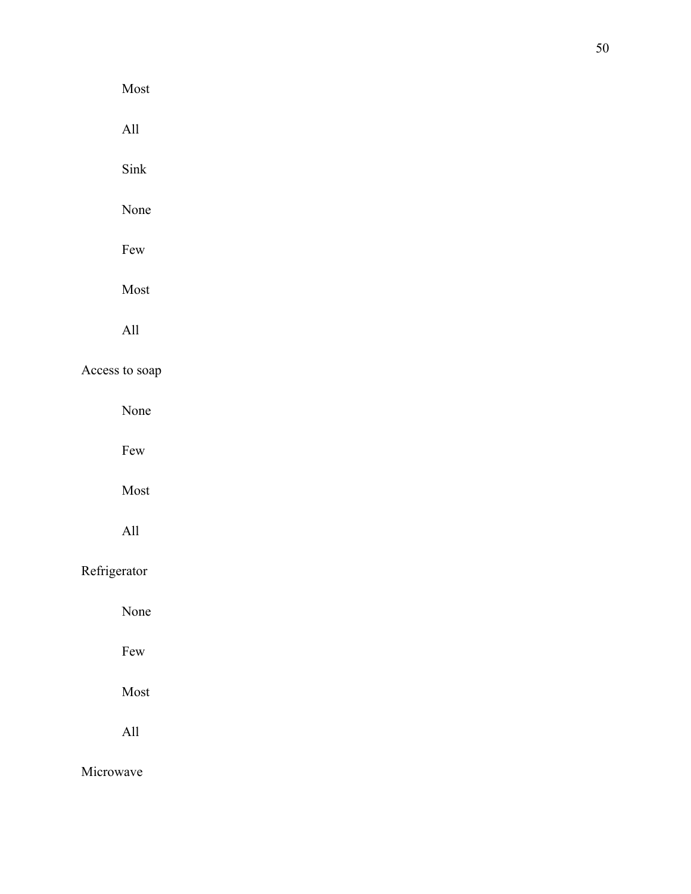Most All Sink None Few Most All Access to soap None

Few

Most

All

# Refrigerator

None

Few

Most

All

Microwave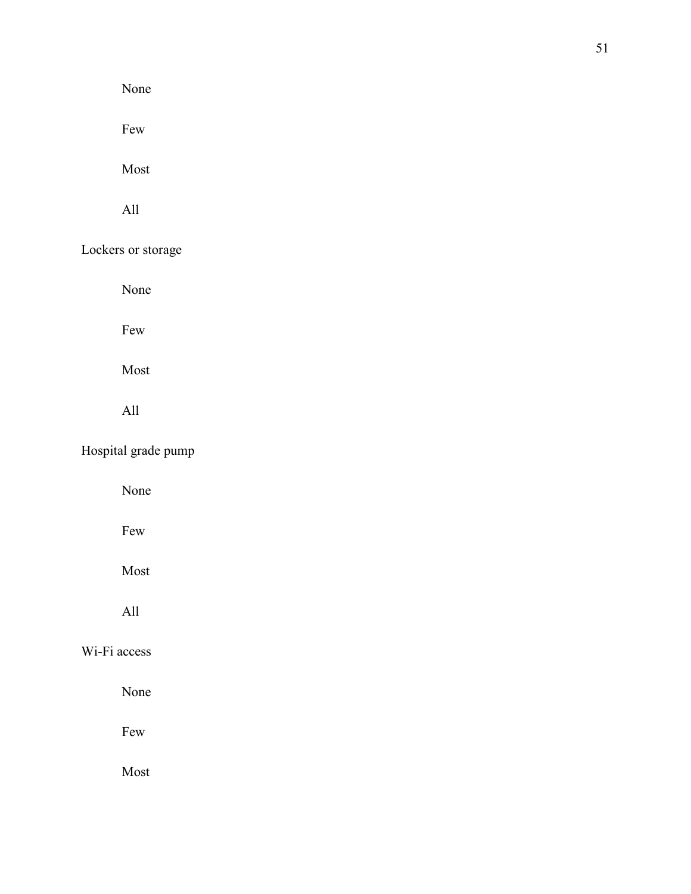None

Few

Most

All

Lockers or storage

None

Few

Most

All

Hospital grade pump

None

Few

Most

All

# Wi-Fi access

None

Few

Most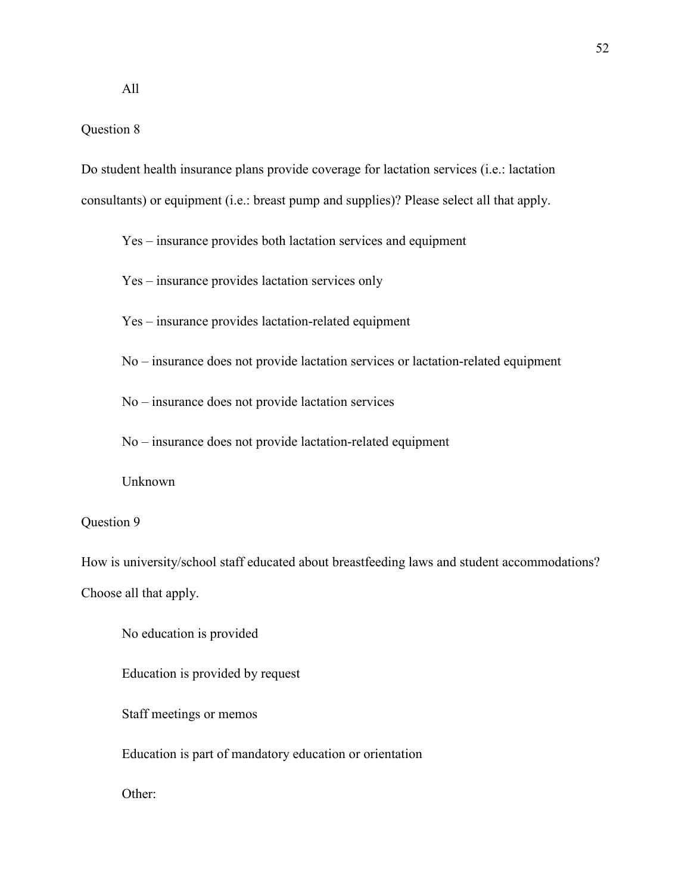## Question 8

Do student health insurance plans provide coverage for lactation services (i.e.: lactation consultants) or equipment (i.e.: breast pump and supplies)? Please select all that apply.

Yes – insurance provides both lactation services and equipment

Yes – insurance provides lactation services only

Yes – insurance provides lactation-related equipment

No – insurance does not provide lactation services or lactation-related equipment

No – insurance does not provide lactation services

No – insurance does not provide lactation-related equipment

Unknown

# Question 9

How is university/school staff educated about breastfeeding laws and student accommodations? Choose all that apply.

No education is provided

Education is provided by request

Staff meetings or memos

Education is part of mandatory education or orientation

Other: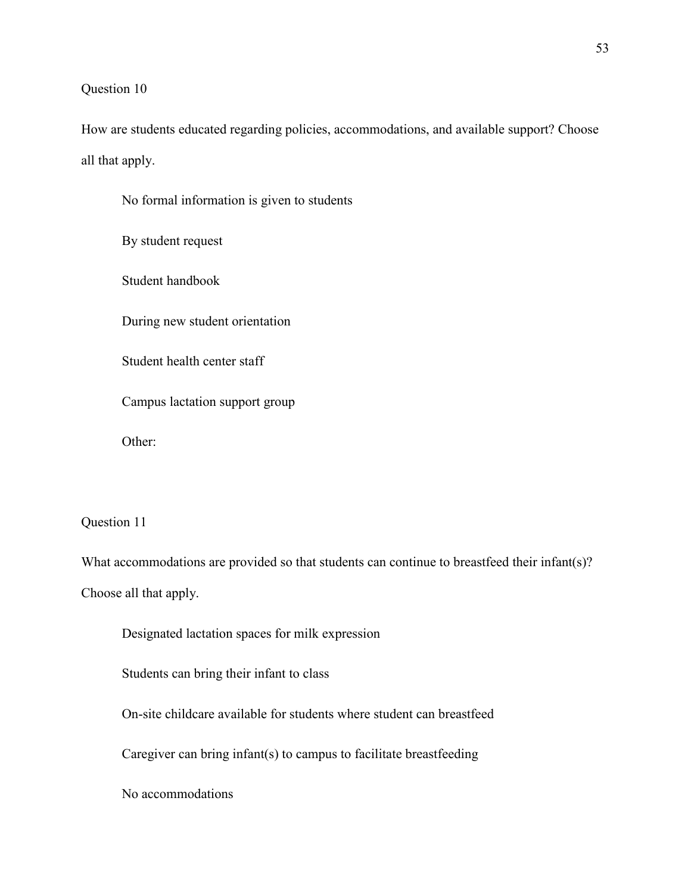## Question 10

How are students educated regarding policies, accommodations, and available support? Choose all that apply.

 No formal information is given to students By student request Student handbook During new student orientation Student health center staff Campus lactation support group Other:

Question 11

What accommodations are provided so that students can continue to breastfeed their infant(s)? Choose all that apply.

Designated lactation spaces for milk expression

Students can bring their infant to class

On-site childcare available for students where student can breastfeed

Caregiver can bring infant(s) to campus to facilitate breastfeeding

No accommodations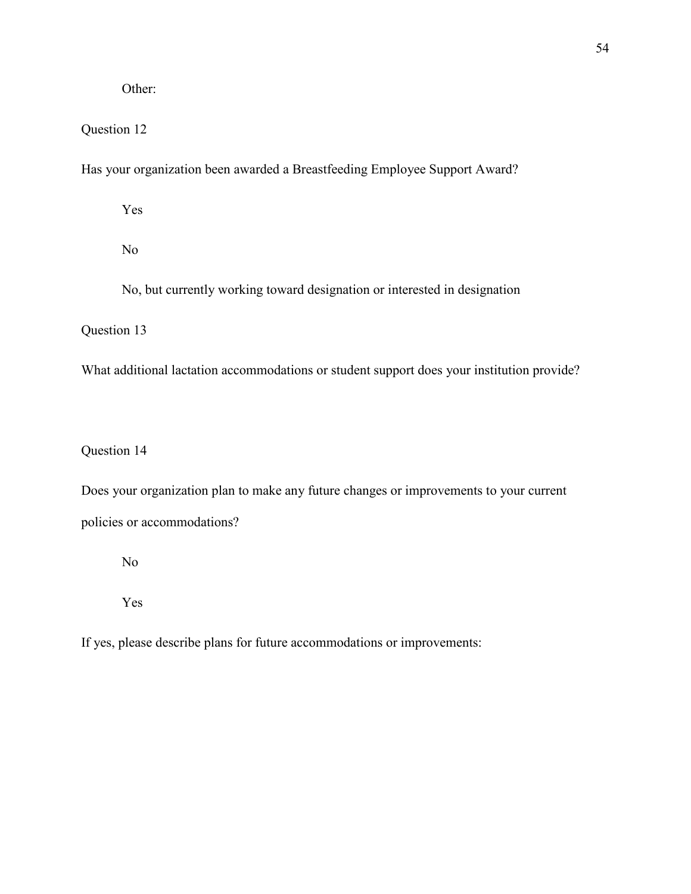Other:

# Question 12

Has your organization been awarded a Breastfeeding Employee Support Award?

Yes

No

No, but currently working toward designation or interested in designation

Question 13

What additional lactation accommodations or student support does your institution provide?

# Question 14

Does your organization plan to make any future changes or improvements to your current policies or accommodations?

No

Yes

If yes, please describe plans for future accommodations or improvements: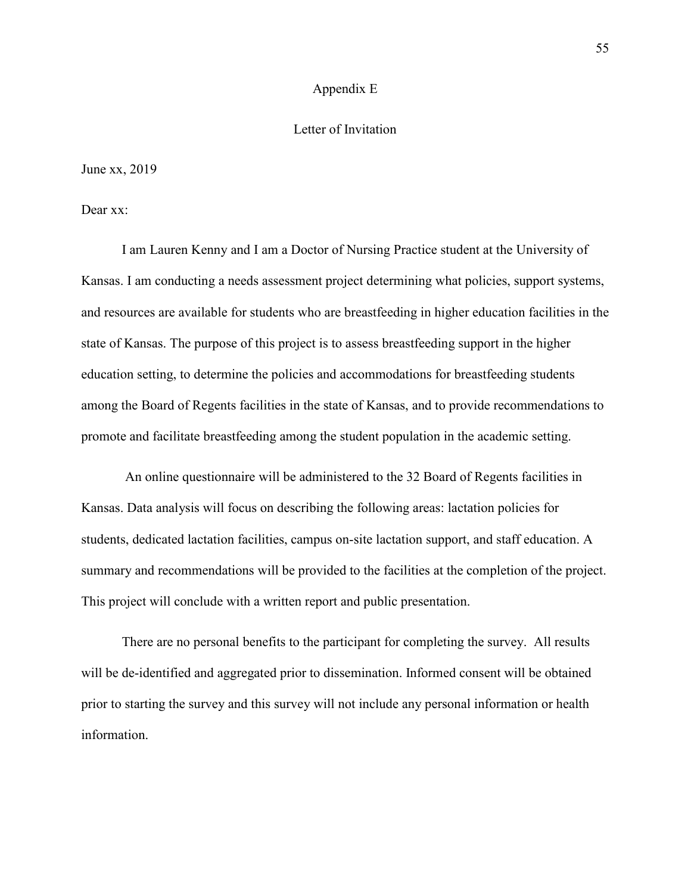#### Appendix E

### Letter of Invitation

June xx, 2019

Dear xx:

I am Lauren Kenny and I am a Doctor of Nursing Practice student at the University of Kansas. I am conducting a needs assessment project determining what policies, support systems, and resources are available for students who are breastfeeding in higher education facilities in the state of Kansas. The purpose of this project is to assess breastfeeding support in the higher education setting, to determine the policies and accommodations for breastfeeding students among the Board of Regents facilities in the state of Kansas, and to provide recommendations to promote and facilitate breastfeeding among the student population in the academic setting.

 An online questionnaire will be administered to the 32 Board of Regents facilities in Kansas. Data analysis will focus on describing the following areas: lactation policies for students, dedicated lactation facilities, campus on-site lactation support, and staff education. A summary and recommendations will be provided to the facilities at the completion of the project. This project will conclude with a written report and public presentation.

There are no personal benefits to the participant for completing the survey. All results will be de-identified and aggregated prior to dissemination. Informed consent will be obtained prior to starting the survey and this survey will not include any personal information or health information.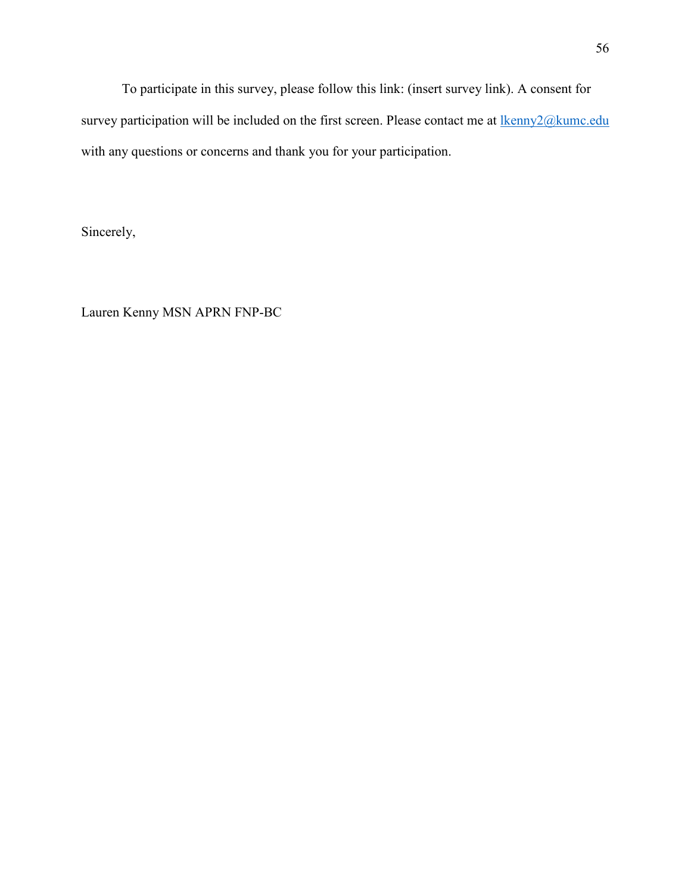To participate in this survey, please follow this link: (insert survey link). A consent for survey participation will be included on the first screen. Please contact me at  $\frac{1}{kenny2@kume.edu}$ with any questions or concerns and thank you for your participation.

Sincerely,

Lauren Kenny MSN APRN FNP-BC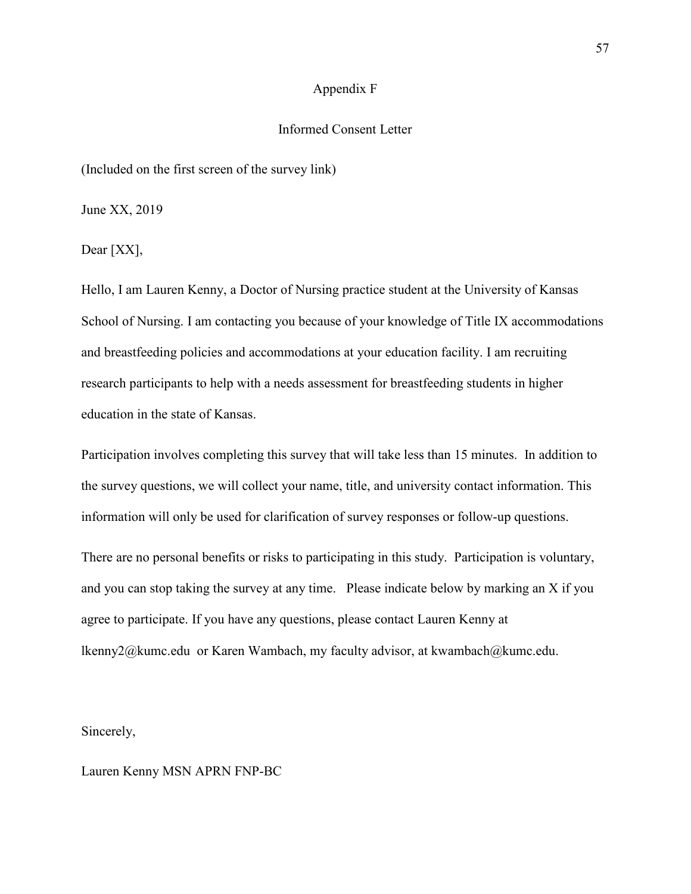#### Appendix F

### Informed Consent Letter

(Included on the first screen of the survey link)

June XX, 2019

Dear [XX],

Hello, I am Lauren Kenny, a Doctor of Nursing practice student at the University of Kansas School of Nursing. I am contacting you because of your knowledge of Title IX accommodations and breastfeeding policies and accommodations at your education facility. I am recruiting research participants to help with a needs assessment for breastfeeding students in higher education in the state of Kansas.

Participation involves completing this survey that will take less than 15 minutes. In addition to the survey questions, we will collect your name, title, and university contact information. This information will only be used for clarification of survey responses or follow-up questions.

There are no personal benefits or risks to participating in this study. Participation is voluntary, and you can stop taking the survey at any time. Please indicate below by marking an X if you agree to participate. If you have any questions, please contact Lauren Kenny at lkenny2@kumc.edu or Karen Wambach, my faculty advisor, at kwambach@kumc.edu.

Sincerely,

Lauren Kenny MSN APRN FNP-BC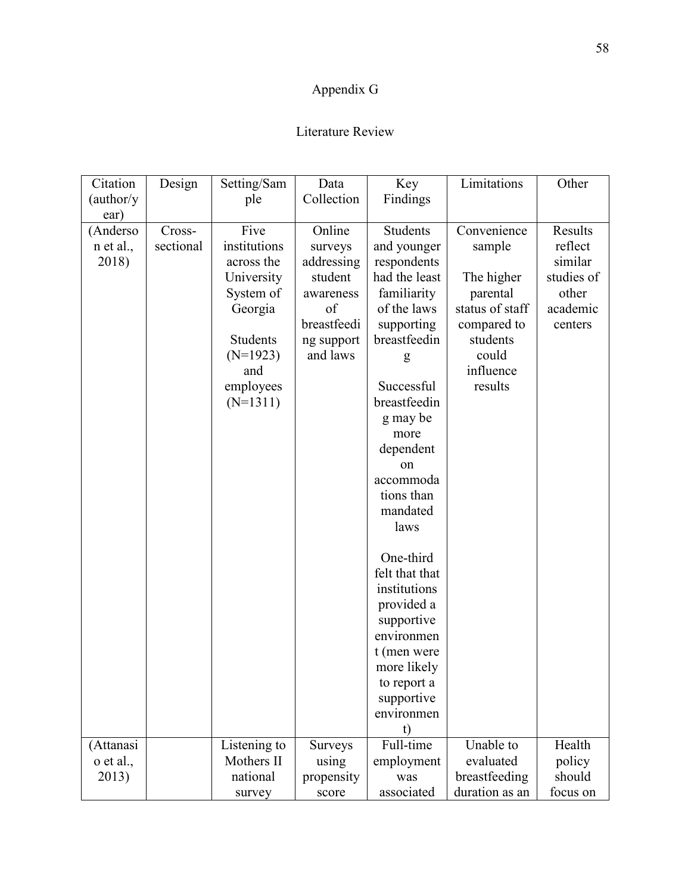# Appendix G

# Literature Review

| Citation   | Design    | Setting/Sam  | Data           | Key             | Limitations     | Other      |
|------------|-----------|--------------|----------------|-----------------|-----------------|------------|
| (author/y) |           | ple          | Collection     | Findings        |                 |            |
| ear)       |           |              |                |                 |                 |            |
| (Anderso   | Cross-    | Five         | Online         | <b>Students</b> | Convenience     | Results    |
| n et al.,  | sectional | institutions | surveys        | and younger     | sample          | reflect    |
| 2018)      |           | across the   | addressing     | respondents     |                 | similar    |
|            |           | University   | student        | had the least   | The higher      | studies of |
|            |           | System of    | awareness      | familiarity     | parental        | other      |
|            |           | Georgia      | of             | of the laws     | status of staff | academic   |
|            |           |              | breastfeedi    | supporting      | compared to     | centers    |
|            |           | Students     | ng support     | breastfeedin    | students        |            |
|            |           | $(N=1923)$   | and laws       | g               | could           |            |
|            |           | and          |                |                 | influence       |            |
|            |           | employees    |                | Successful      | results         |            |
|            |           | $(N=1311)$   |                | breastfeedin    |                 |            |
|            |           |              |                | g may be        |                 |            |
|            |           |              |                | more            |                 |            |
|            |           |              |                | dependent       |                 |            |
|            |           |              |                | on              |                 |            |
|            |           |              |                | accommoda       |                 |            |
|            |           |              |                | tions than      |                 |            |
|            |           |              |                | mandated        |                 |            |
|            |           |              |                | laws            |                 |            |
|            |           |              |                | One-third       |                 |            |
|            |           |              |                | felt that that  |                 |            |
|            |           |              |                | institutions    |                 |            |
|            |           |              |                | provided a      |                 |            |
|            |           |              |                | supportive      |                 |            |
|            |           |              |                | environmen      |                 |            |
|            |           |              |                | t (men were     |                 |            |
|            |           |              |                | more likely     |                 |            |
|            |           |              |                | to report a     |                 |            |
|            |           |              |                | supportive      |                 |            |
|            |           |              |                | environmen      |                 |            |
|            |           |              |                | t)              |                 |            |
| (Attanasi  |           | Listening to | <b>Surveys</b> | Full-time       | Unable to       | Health     |
| o et al.,  |           | Mothers II   | using          | employment      | evaluated       | policy     |
| 2013)      |           | national     | propensity     | was             | breastfeeding   | should     |
|            |           | survey       | score          | associated      | duration as an  | focus on   |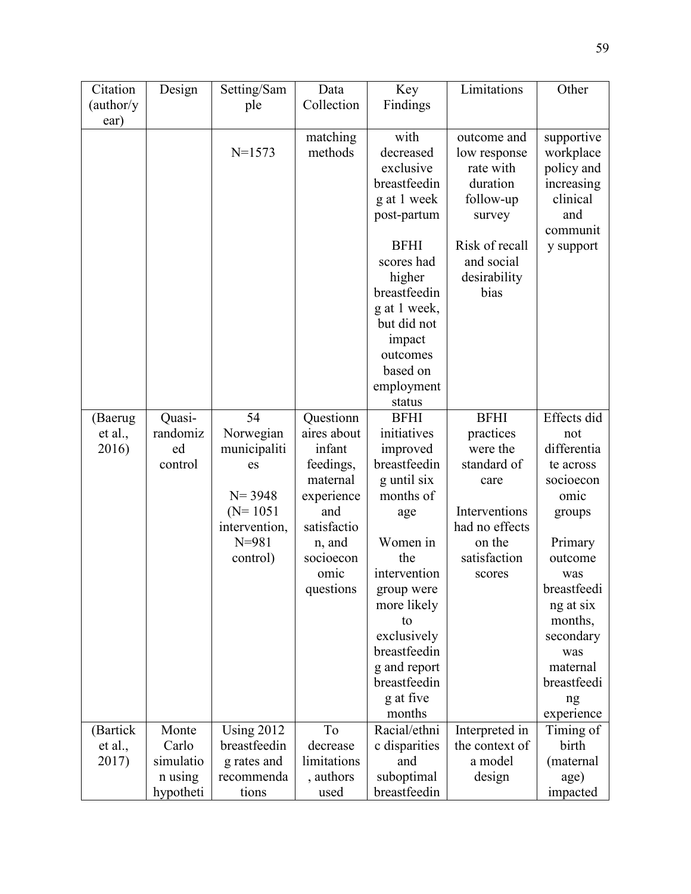| Citation   | Design               | Setting/Sam               | Data                     | Key                          | Limitations       | Other                   |
|------------|----------------------|---------------------------|--------------------------|------------------------------|-------------------|-------------------------|
| (author/y) |                      | ple                       | Collection               | Findings                     |                   |                         |
| ear)       |                      |                           |                          |                              |                   |                         |
|            |                      |                           | matching                 | with                         | outcome and       | supportive              |
|            |                      | $N = 1573$                | methods                  | decreased                    | low response      | workplace               |
|            |                      |                           |                          | exclusive                    | rate with         | policy and              |
|            |                      |                           |                          | breastfeedin                 | duration          | increasing              |
|            |                      |                           |                          | g at 1 week                  | follow-up         | clinical                |
|            |                      |                           |                          | post-partum                  | survey            | and                     |
|            |                      |                           |                          |                              |                   | communit                |
|            |                      |                           |                          | <b>BFHI</b>                  | Risk of recall    | y support               |
|            |                      |                           |                          | scores had                   | and social        |                         |
|            |                      |                           |                          | higher                       | desirability      |                         |
|            |                      |                           |                          | breastfeedin                 | bias              |                         |
|            |                      |                           |                          | g at 1 week,                 |                   |                         |
|            |                      |                           |                          | but did not                  |                   |                         |
|            |                      |                           |                          | impact                       |                   |                         |
|            |                      |                           |                          | outcomes                     |                   |                         |
|            |                      |                           |                          | based on                     |                   |                         |
|            |                      |                           |                          | employment                   |                   |                         |
|            |                      |                           |                          | status                       |                   |                         |
| (Baerug    | Quasi-               | 54                        | Questionn                | <b>BFHI</b>                  | <b>BFHI</b>       | Effects did             |
| et al.,    | randomiz             | Norwegian                 | aires about              | initiatives                  | practices         | not                     |
| 2016)      | ed                   | municipaliti              | infant                   | improved                     | were the          | differentia             |
|            | control              | es                        | feedings,                | breastfeedin                 | standard of       | te across               |
|            |                      |                           | maternal                 | g until six                  | care              | socioecon               |
|            |                      | $N = 3948$                | experience               | months of                    |                   | omic                    |
|            |                      | $(N=1051)$                | and                      | age                          | Interventions     | groups                  |
|            |                      | intervention,             | satisfactio              |                              | had no effects    |                         |
|            |                      | $N = 981$                 | n, and                   | Women in                     | on the            | Primary                 |
|            |                      | control)                  | socioecon                | the                          | satisfaction      | outcome                 |
|            |                      |                           | omic                     | intervention                 | scores            | was                     |
|            |                      |                           | questions                | group were                   |                   | breastfeedi             |
|            |                      |                           |                          | more likely                  |                   | ng at six               |
|            |                      |                           |                          | to                           |                   | months,                 |
|            |                      |                           |                          | exclusively                  |                   | secondary               |
|            |                      |                           |                          | breastfeedin                 |                   | was                     |
|            |                      |                           |                          | g and report<br>breastfeedin |                   | maternal<br>breastfeedi |
|            |                      |                           |                          | g at five                    |                   |                         |
|            |                      |                           |                          | months                       |                   | ng                      |
| (Bartick   | Monte                | <b>Using 2012</b>         | To                       | Racial/ethni                 | Interpreted in    | experience<br>Timing of |
| et al.,    |                      |                           |                          | c disparities                | the context of    | birth                   |
| 2017)      |                      |                           |                          |                              |                   |                         |
|            | Carlo                | breastfeedin              | decrease                 |                              |                   |                         |
|            | simulatio<br>n using | g rates and<br>recommenda | limitations<br>, authors | and<br>suboptimal            | a model<br>design | (maternal<br>age)       |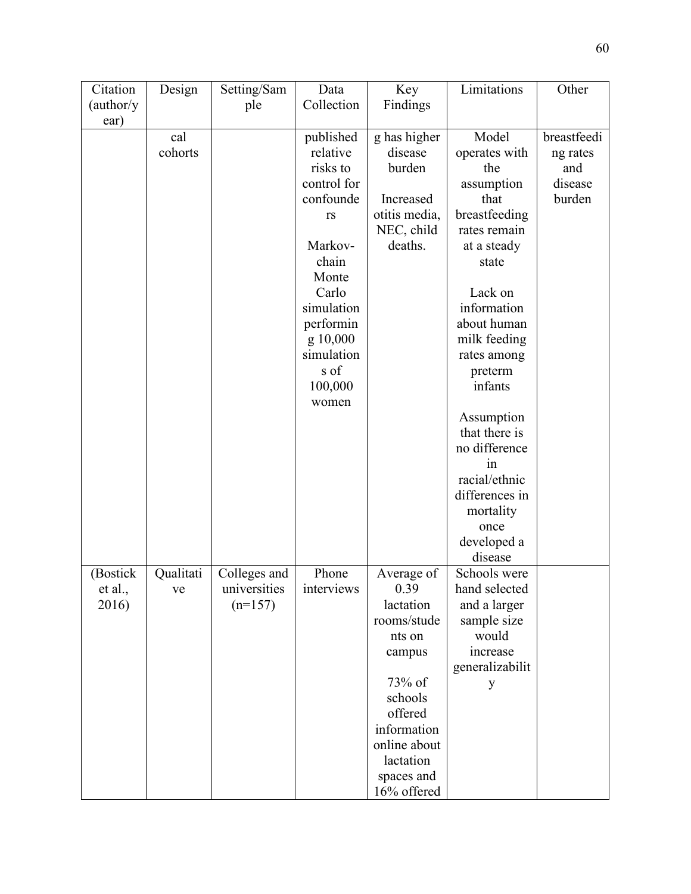| Citation   | Design    | Setting/Sam  | Data             | Key           | Limitations                 | Other       |
|------------|-----------|--------------|------------------|---------------|-----------------------------|-------------|
| (author/y) |           | ple          | Collection       | Findings      |                             |             |
| ear)       |           |              |                  |               |                             |             |
|            | cal       |              | published        | g has higher  | Model                       | breastfeedi |
|            | cohorts   |              | relative         | disease       | operates with               | ng rates    |
|            |           |              | risks to         | burden        | the                         | and         |
|            |           |              | control for      |               | assumption                  | disease     |
|            |           |              | confounde        | Increased     | that                        | burden      |
|            |           |              | rs               | otitis media, | breastfeeding               |             |
|            |           |              |                  | NEC, child    | rates remain                |             |
|            |           |              | Markov-          | deaths.       | at a steady                 |             |
|            |           |              | chain            |               | state                       |             |
|            |           |              | Monte            |               |                             |             |
|            |           |              | Carlo            |               | Lack on                     |             |
|            |           |              | simulation       |               | information                 |             |
|            |           |              | performin        |               | about human                 |             |
|            |           |              | g 10,000         |               | milk feeding                |             |
|            |           |              | simulation       |               |                             |             |
|            |           |              | s of             |               | rates among                 |             |
|            |           |              |                  |               | preterm<br>infants          |             |
|            |           |              | 100,000<br>women |               |                             |             |
|            |           |              |                  |               |                             |             |
|            |           |              |                  |               | Assumption<br>that there is |             |
|            |           |              |                  |               |                             |             |
|            |           |              |                  |               | no difference               |             |
|            |           |              |                  |               | 1n                          |             |
|            |           |              |                  |               | racial/ethnic               |             |
|            |           |              |                  |               | differences in              |             |
|            |           |              |                  |               | mortality                   |             |
|            |           |              |                  |               | once                        |             |
|            |           |              |                  |               | developed a                 |             |
|            |           |              |                  |               | disease                     |             |
| (Bostick   | Qualitati | Colleges and | Phone            | Average of    | Schools were                |             |
| et al.,    | ve        | universities | interviews       | 0.39          | hand selected               |             |
| 2016)      |           | $(n=157)$    |                  | lactation     | and a larger                |             |
|            |           |              |                  | rooms/stude   | sample size                 |             |
|            |           |              |                  | nts on        | would                       |             |
|            |           |              |                  | campus        | increase                    |             |
|            |           |              |                  |               | generalizabilit             |             |
|            |           |              |                  | 73% of        | y                           |             |
|            |           |              |                  | schools       |                             |             |
|            |           |              |                  | offered       |                             |             |
|            |           |              |                  | information   |                             |             |
|            |           |              |                  | online about  |                             |             |
|            |           |              |                  | lactation     |                             |             |
|            |           |              |                  | spaces and    |                             |             |
|            |           |              |                  | 16% offered   |                             |             |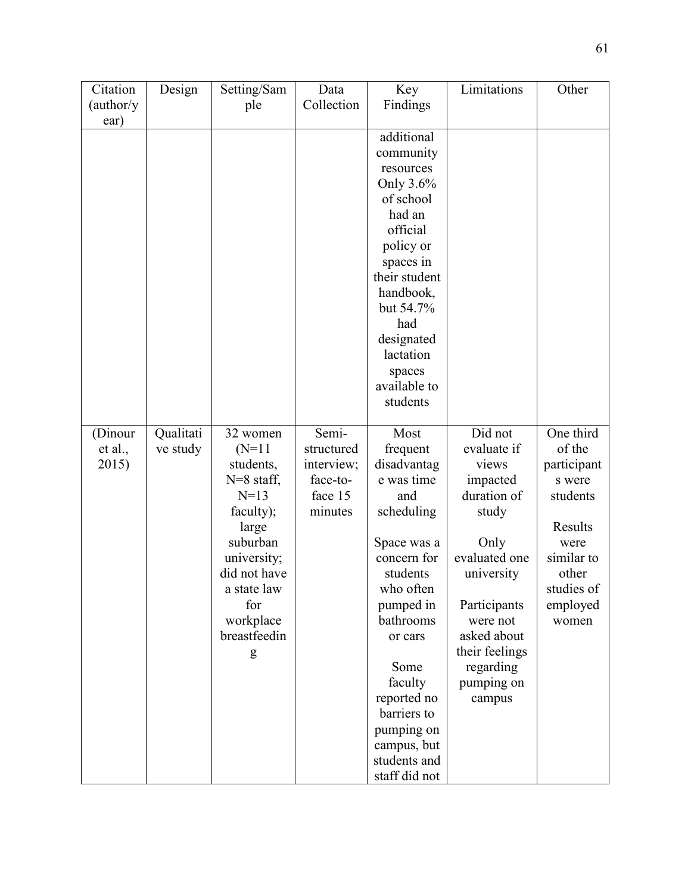| Citation   | Design    | Setting/Sam                 | Data       | Key                        | Limitations                   | Other              |
|------------|-----------|-----------------------------|------------|----------------------------|-------------------------------|--------------------|
| (author/y) |           | ple                         | Collection | Findings                   |                               |                    |
| ear)       |           |                             |            |                            |                               |                    |
|            |           |                             |            | additional                 |                               |                    |
|            |           |                             |            | community                  |                               |                    |
|            |           |                             |            | resources                  |                               |                    |
|            |           |                             |            | Only 3.6%                  |                               |                    |
|            |           |                             |            | of school                  |                               |                    |
|            |           |                             |            | had an                     |                               |                    |
|            |           |                             |            | official                   |                               |                    |
|            |           |                             |            | policy or                  |                               |                    |
|            |           |                             |            |                            |                               |                    |
|            |           |                             |            | spaces in<br>their student |                               |                    |
|            |           |                             |            |                            |                               |                    |
|            |           |                             |            | handbook,                  |                               |                    |
|            |           |                             |            | but 54.7%                  |                               |                    |
|            |           |                             |            | had                        |                               |                    |
|            |           |                             |            | designated<br>lactation    |                               |                    |
|            |           |                             |            |                            |                               |                    |
|            |           |                             |            | spaces                     |                               |                    |
|            |           |                             |            | available to<br>students   |                               |                    |
|            |           |                             |            |                            |                               |                    |
| (Dinour    | Qualitati | 32 women                    | Semi-      | Most                       | Did not                       | One third          |
| et al.,    | ve study  | $(N=11)$                    | structured | frequent                   | evaluate if                   | of the             |
| 2015)      |           | students,                   | interview; | disadvantag                | views                         | participant        |
|            |           | $N=8$ staff,                | face-to-   | e was time                 | impacted                      | s were             |
|            |           | $N=13$                      | face 15    | and                        | duration of                   | students           |
|            |           | faculty);                   | minutes    | scheduling                 | study                         |                    |
|            |           | large                       |            |                            |                               | Results            |
|            |           | suburban                    |            | Space was a                | Only                          |                    |
|            |           |                             |            | concern for                | evaluated one                 | were<br>similar to |
|            |           | university;<br>did not have |            | students                   |                               | other              |
|            |           | a state law                 |            | who often                  | university                    | studies of         |
|            |           | for                         |            |                            |                               |                    |
|            |           |                             |            | pumped in                  | Participants                  | employed           |
|            |           | workplace<br>breastfeedin   |            | bathrooms                  | were not                      | women              |
|            |           |                             |            | or cars                    | asked about<br>their feelings |                    |
|            |           | g                           |            |                            |                               |                    |
|            |           |                             |            | Some                       | regarding                     |                    |
|            |           |                             |            | faculty                    | pumping on                    |                    |
|            |           |                             |            | reported no                | campus                        |                    |
|            |           |                             |            | barriers to                |                               |                    |
|            |           |                             |            | pumping on                 |                               |                    |
|            |           |                             |            | campus, but                |                               |                    |
|            |           |                             |            | students and               |                               |                    |
|            |           |                             |            | staff did not              |                               |                    |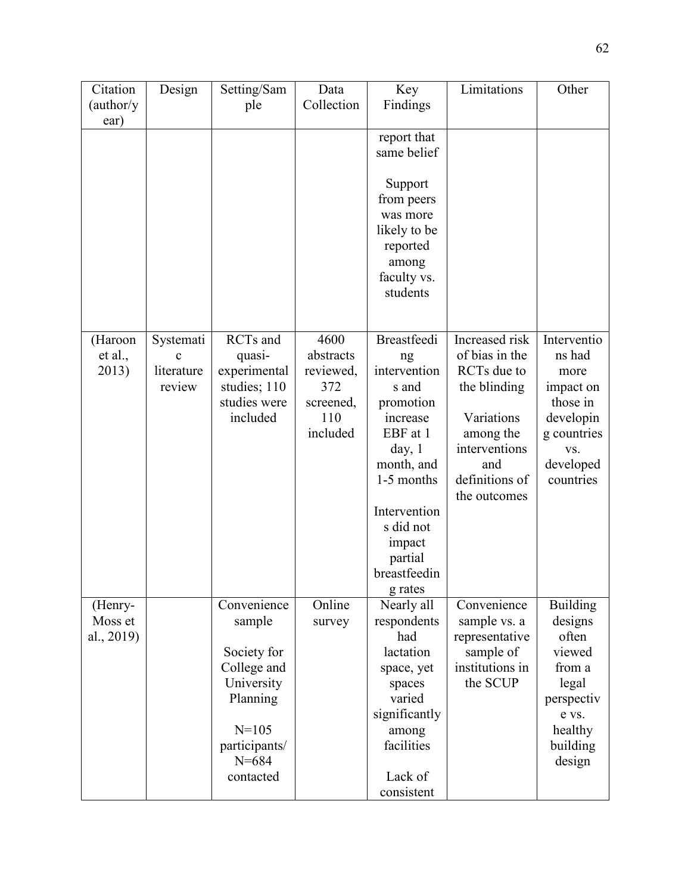| Citation           | Design         | Setting/Sam                | Data<br>Collection | Key                  | Limitations                 | Other              |
|--------------------|----------------|----------------------------|--------------------|----------------------|-----------------------------|--------------------|
| (author/y)<br>ear) |                | ple                        |                    | Findings             |                             |                    |
|                    |                |                            |                    | report that          |                             |                    |
|                    |                |                            |                    | same belief          |                             |                    |
|                    |                |                            |                    | Support              |                             |                    |
|                    |                |                            |                    | from peers           |                             |                    |
|                    |                |                            |                    | was more             |                             |                    |
|                    |                |                            |                    | likely to be         |                             |                    |
|                    |                |                            |                    | reported             |                             |                    |
|                    |                |                            |                    | among<br>faculty vs. |                             |                    |
|                    |                |                            |                    | students             |                             |                    |
|                    |                |                            |                    |                      |                             |                    |
|                    |                | RCTs and                   | 4600               |                      | Increased risk              | Interventio        |
| (Haroon<br>et al., | Systemati<br>C | quasi-                     | abstracts          | <b>Breastfeedi</b>   | of bias in the              | ns had             |
| 2013)              | literature     | experimental               | reviewed,          | ng<br>intervention   | RCTs due to                 | more               |
|                    | review         | studies; 110               | 372                | s and                | the blinding                | impact on          |
|                    |                | studies were               | screened,          | promotion            |                             | those in           |
|                    |                | included                   | 110                | increase             | Variations                  | developin          |
|                    |                |                            | included           | EBF at 1             | among the<br>interventions  | g countries        |
|                    |                |                            |                    | day, 1<br>month, and | and                         | VS.<br>developed   |
|                    |                |                            |                    | 1-5 months           | definitions of              | countries          |
|                    |                |                            |                    |                      | the outcomes                |                    |
|                    |                |                            |                    | Intervention         |                             |                    |
|                    |                |                            |                    | s did not            |                             |                    |
|                    |                |                            |                    | impact<br>partial    |                             |                    |
|                    |                |                            |                    | breastfeedin         |                             |                    |
|                    |                |                            |                    | g rates              |                             |                    |
| (Henry-            |                | Convenience                | Online             | Nearly all           | Convenience                 | <b>Building</b>    |
| Moss et            |                | sample                     | survey             | respondents          | sample vs. a                | designs            |
| al., $2019$        |                | Society for                |                    | had<br>lactation     | representative<br>sample of | often<br>viewed    |
|                    |                | College and                |                    | space, yet           | institutions in             | from a             |
|                    |                | University                 |                    | spaces               | the SCUP                    | legal              |
|                    |                | Planning                   |                    | varied               |                             | perspectiv         |
|                    |                |                            |                    | significantly        |                             | e vs.              |
|                    |                | $N = 105$                  |                    | among                |                             | healthy            |
|                    |                | participants/<br>$N = 684$ |                    | facilities           |                             | building<br>design |
|                    |                | contacted                  |                    | Lack of              |                             |                    |
|                    |                |                            |                    | consistent           |                             |                    |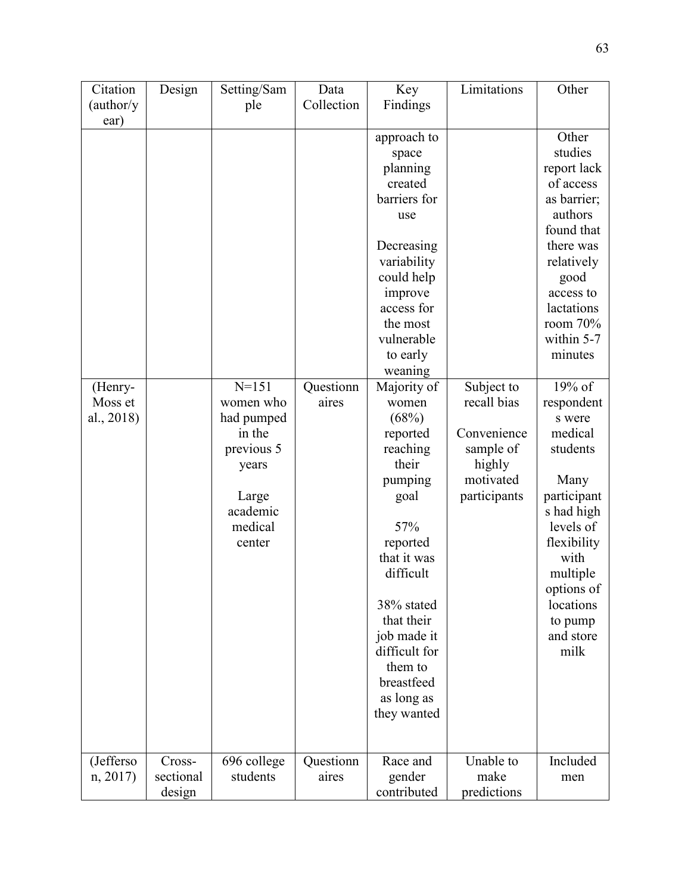| Citation   | Design    | Setting/Sam       | Data       | Key           | Limitations  | Other                   |
|------------|-----------|-------------------|------------|---------------|--------------|-------------------------|
| (author/y) |           | ple               | Collection | Findings      |              |                         |
| ear)       |           |                   |            |               |              |                         |
|            |           |                   |            | approach to   |              | Other                   |
|            |           |                   |            | space         |              | studies                 |
|            |           |                   |            | planning      |              | report lack             |
|            |           |                   |            | created       |              | of access               |
|            |           |                   |            | barriers for  |              | as barrier;             |
|            |           |                   |            | use           |              | authors                 |
|            |           |                   |            |               |              | found that              |
|            |           |                   |            | Decreasing    |              | there was               |
|            |           |                   |            | variability   |              | relatively              |
|            |           |                   |            | could help    |              | good                    |
|            |           |                   |            | improve       |              | access to               |
|            |           |                   |            | access for    |              | lactations              |
|            |           |                   |            | the most      |              | room 70%                |
|            |           |                   |            | vulnerable    |              | within 5-7              |
|            |           |                   |            | to early      |              | minutes                 |
|            |           |                   |            | weaning       |              |                         |
| (Henry-    |           | $N = 151$         | Questionn  | Majority of   | Subject to   | 19% of                  |
| Moss et    |           | women who         | aires      | women         | recall bias  | respondent              |
| al., 2018) |           | had pumped        |            | (68%)         |              | s were                  |
|            |           | in the            |            | reported      | Convenience  | medical                 |
|            |           | previous 5        |            | reaching      | sample of    | students                |
|            |           | years             |            | their         | highly       |                         |
|            |           |                   |            | pumping       | motivated    | Many                    |
|            |           | Large<br>academic |            | goal          | participants | participant             |
|            |           | medical           |            | 57%           |              | s had high<br>levels of |
|            |           | center            |            | reported      |              | flexibility             |
|            |           |                   |            | that it was   |              | with                    |
|            |           |                   |            | difficult     |              | multiple                |
|            |           |                   |            |               |              | options of              |
|            |           |                   |            | 38% stated    |              | locations               |
|            |           |                   |            | that their    |              | to pump                 |
|            |           |                   |            | job made it   |              | and store               |
|            |           |                   |            | difficult for |              | milk                    |
|            |           |                   |            | them to       |              |                         |
|            |           |                   |            | breastfeed    |              |                         |
|            |           |                   |            | as long as    |              |                         |
|            |           |                   |            | they wanted   |              |                         |
|            |           |                   |            |               |              |                         |
|            |           |                   |            |               |              |                         |
| (Jefferso  | Cross-    | 696 college       | Questionn  | Race and      | Unable to    | Included                |
| n, 2017    | sectional | students          | aires      | gender        | make         | men                     |
|            | design    |                   |            | contributed   | predictions  |                         |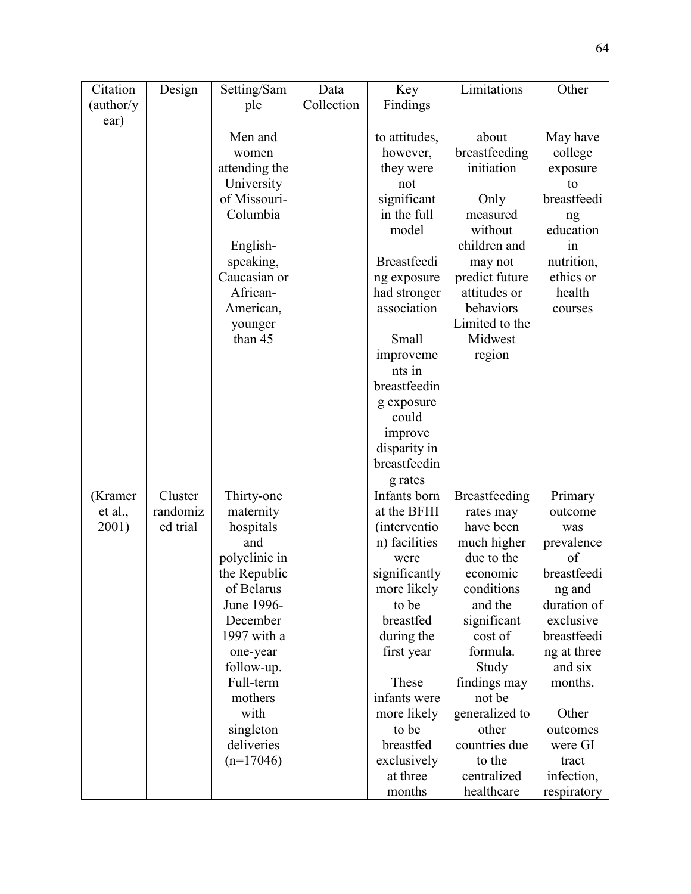| Citation   | Design   | Setting/Sam   | Data       | Key                          | Limitations    | Other       |
|------------|----------|---------------|------------|------------------------------|----------------|-------------|
| (author/y) |          | ple           | Collection | Findings                     |                |             |
| ear)       |          |               |            |                              |                |             |
|            |          | Men and       |            | to attitudes,                | about          | May have    |
|            |          | women         |            | however,                     | breastfeeding  | college     |
|            |          | attending the |            | they were                    | initiation     | exposure    |
|            |          | University    |            | not                          |                | to          |
|            |          | of Missouri-  |            | significant                  | Only           | breastfeedi |
|            |          | Columbia      |            | in the full                  | measured       | ng          |
|            |          |               |            | model                        | without        | education   |
|            |          | English-      |            |                              | children and   | in          |
|            |          | speaking,     |            | <b>Breastfeedi</b>           | may not        | nutrition,  |
|            |          | Caucasian or  |            | ng exposure                  | predict future | ethics or   |
|            |          | African-      |            | had stronger                 | attitudes or   | health      |
|            |          | American,     |            | association                  | behaviors      | courses     |
|            |          | younger       |            |                              | Limited to the |             |
|            |          | than 45       |            | Small                        | Midwest        |             |
|            |          |               |            | improveme                    | region         |             |
|            |          |               |            | nts in                       |                |             |
|            |          |               |            | breastfeedin                 |                |             |
|            |          |               |            |                              |                |             |
|            |          |               |            | g exposure<br>could          |                |             |
|            |          |               |            |                              |                |             |
|            |          |               |            | improve                      |                |             |
|            |          |               |            | disparity in<br>breastfeedin |                |             |
|            |          |               |            |                              |                |             |
|            |          |               |            | g rates                      |                |             |
| (Kramer    | Cluster  | Thirty-one    |            | Infants born                 | Breastfeeding  | Primary     |
| et al.,    | randomiz | maternity     |            | at the BFHI                  | rates may      | outcome     |
| 2001)      | ed trial | hospitals     |            | <i>(interventio)</i>         | have been      | was         |
|            |          | and           |            | n) facilities                | much higher    | prevalence  |
|            |          | polyclinic in |            | were                         | due to the     | of          |
|            |          | the Republic  |            | significantly                | economic       | breastfeedi |
|            |          | of Belarus    |            | more likely                  | conditions     | ng and      |
|            |          | June 1996-    |            | to be                        | and the        | duration of |
|            |          | December      |            | breastfed                    | significant    | exclusive   |
|            |          | 1997 with a   |            | during the                   | cost of        | breastfeedi |
|            |          | one-year      |            | first year                   | formula.       | ng at three |
|            |          | follow-up.    |            |                              | Study          | and six     |
|            |          | Full-term     |            | These                        | findings may   | months.     |
|            |          | mothers       |            | infants were                 | not be         |             |
|            |          | with          |            | more likely                  | generalized to | Other       |
|            |          | singleton     |            | to be                        | other          | outcomes    |
|            |          | deliveries    |            | breastfed                    | countries due  | were GI     |
|            |          | $(n=17046)$   |            | exclusively                  | to the         | tract       |
|            |          |               |            | at three                     | centralized    | infection,  |
|            |          |               |            | months                       | healthcare     | respiratory |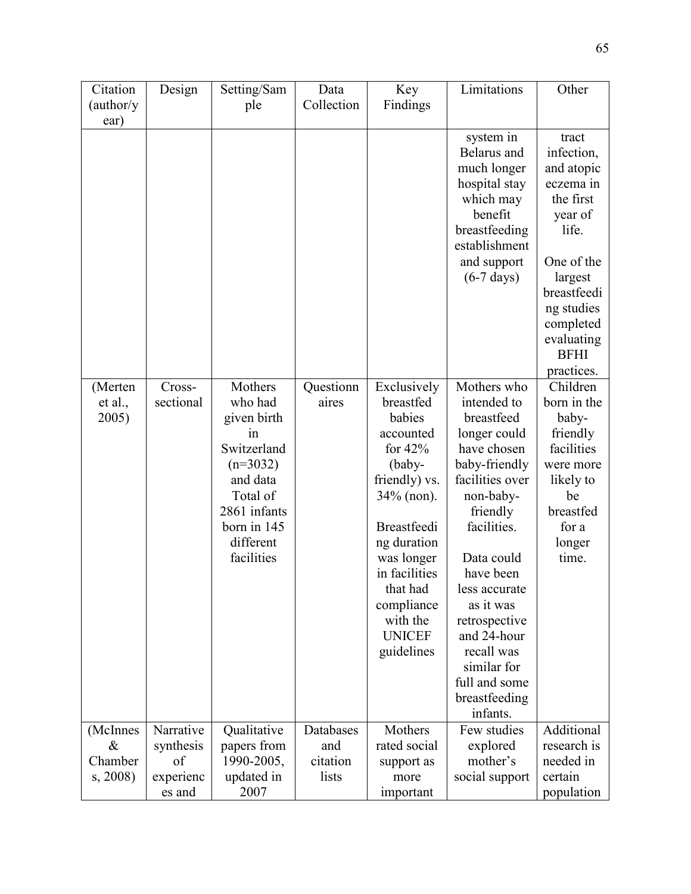| Citation                            | Design                                              | Setting/Sam                                                                                                                                 | Data                                  | Key                                                                                                                                                                                                                                | Limitations                                                                                                                                                                                                                                                                                              | Other                                                                                                                                                                                                     |
|-------------------------------------|-----------------------------------------------------|---------------------------------------------------------------------------------------------------------------------------------------------|---------------------------------------|------------------------------------------------------------------------------------------------------------------------------------------------------------------------------------------------------------------------------------|----------------------------------------------------------------------------------------------------------------------------------------------------------------------------------------------------------------------------------------------------------------------------------------------------------|-----------------------------------------------------------------------------------------------------------------------------------------------------------------------------------------------------------|
| (author/y)                          |                                                     | ple                                                                                                                                         | Collection                            | Findings                                                                                                                                                                                                                           |                                                                                                                                                                                                                                                                                                          |                                                                                                                                                                                                           |
| ear)<br>(Merten                     | Cross-                                              | Mothers                                                                                                                                     | Questionn                             | Exclusively                                                                                                                                                                                                                        | system in<br>Belarus and<br>much longer<br>hospital stay<br>which may<br>benefit<br>breastfeeding<br>establishment<br>and support<br>$(6-7 \text{ days})$<br>Mothers who                                                                                                                                 | tract<br>infection,<br>and atopic<br>eczema in<br>the first<br>year of<br>life.<br>One of the<br>largest<br>breastfeedi<br>ng studies<br>completed<br>evaluating<br><b>BFHI</b><br>practices.<br>Children |
| et al.,<br>2005)                    | sectional                                           | who had<br>given birth<br>in<br>Switzerland<br>$(n=3032)$<br>and data<br>Total of<br>2861 infants<br>born in 145<br>different<br>facilities | aires                                 | breastfed<br>babies<br>accounted<br>for $42%$<br>(baby-<br>friendly) vs.<br>$34\%$ (non).<br><b>Breastfeedi</b><br>ng duration<br>was longer<br>in facilities<br>that had<br>compliance<br>with the<br><b>UNICEF</b><br>guidelines | intended to<br>breastfeed<br>longer could<br>have chosen<br>baby-friendly<br>facilities over<br>non-baby-<br>friendly<br>facilities.<br>Data could<br>have been<br>less accurate<br>as it was<br>retrospective<br>and 24-hour<br>recall was<br>similar for<br>full and some<br>breastfeeding<br>infants. | born in the<br>baby-<br>friendly<br>facilities<br>were more<br>likely to<br>be<br>breastfed<br>for a<br>longer<br>time.                                                                                   |
| (McInnes<br>&<br>Chamber<br>s, 2008 | Narrative<br>synthesis<br>of<br>experienc<br>es and | Qualitative<br>papers from<br>1990-2005,<br>updated in<br>2007                                                                              | Databases<br>and<br>citation<br>lists | Mothers<br>rated social<br>support as<br>more<br>important                                                                                                                                                                         | Few studies<br>explored<br>mother's<br>social support                                                                                                                                                                                                                                                    | Additional<br>research is<br>needed in<br>certain<br>population                                                                                                                                           |